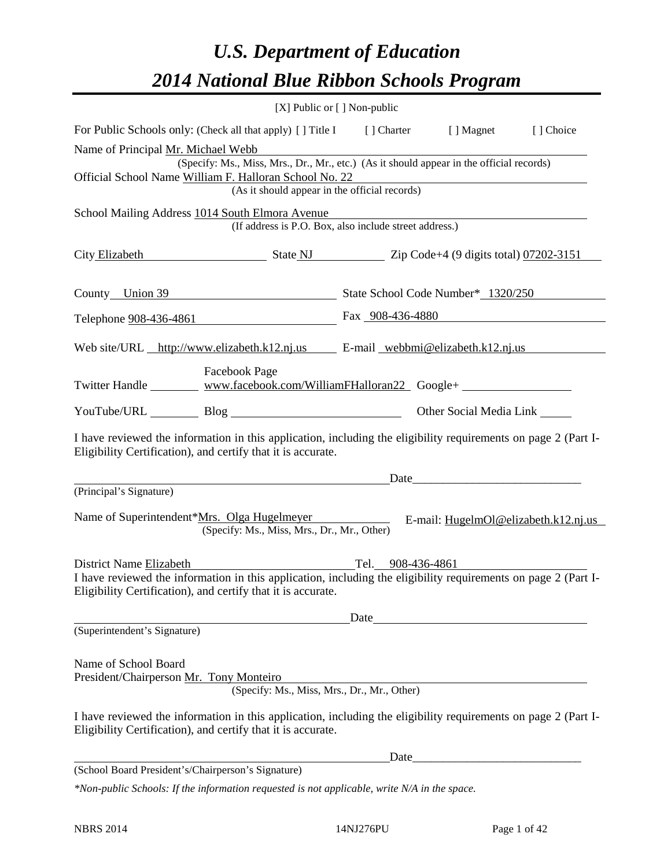# *U.S. Department of Education 2014 National Blue Ribbon Schools Program*

|                                                                 | [X] Public or [] Non-public                                                                                                                                                                         |                   |                                                                                                                                                                                                                               |  |  |  |  |  |
|-----------------------------------------------------------------|-----------------------------------------------------------------------------------------------------------------------------------------------------------------------------------------------------|-------------------|-------------------------------------------------------------------------------------------------------------------------------------------------------------------------------------------------------------------------------|--|--|--|--|--|
|                                                                 | For Public Schools only: (Check all that apply) [ ] Title I [ ] Charter [ ] Magnet [ ] Choice                                                                                                       |                   |                                                                                                                                                                                                                               |  |  |  |  |  |
| Name of Principal Mr. Michael Webb                              | (Specify: Ms., Miss, Mrs., Dr., Mr., etc.) (As it should appear in the official records)<br>Official School Name William F. Halloran School No. 22<br>(As it should appear in the official records) |                   |                                                                                                                                                                                                                               |  |  |  |  |  |
|                                                                 | School Mailing Address 1014 South Elmora Avenue<br>(If address is P.O. Box, also include street address.)                                                                                           |                   |                                                                                                                                                                                                                               |  |  |  |  |  |
|                                                                 | City Elizabeth State NJ State NJ Zip Code+4 (9 digits total) 07202-3151                                                                                                                             |                   |                                                                                                                                                                                                                               |  |  |  |  |  |
|                                                                 | County Union 39 State School Code Number* 1320/250                                                                                                                                                  |                   |                                                                                                                                                                                                                               |  |  |  |  |  |
|                                                                 | Telephone <u>908-436-4861</u> Fax 908-436-4880                                                                                                                                                      |                   |                                                                                                                                                                                                                               |  |  |  |  |  |
|                                                                 | Web site/URL http://www.elizabeth.k12.nj.us E-mail webbmi@elizabeth.k12.nj.us                                                                                                                       |                   |                                                                                                                                                                                                                               |  |  |  |  |  |
|                                                                 | Facebook Page                                                                                                                                                                                       |                   |                                                                                                                                                                                                                               |  |  |  |  |  |
|                                                                 |                                                                                                                                                                                                     |                   | Other Social Media Link _______                                                                                                                                                                                               |  |  |  |  |  |
|                                                                 | I have reviewed the information in this application, including the eligibility requirements on page 2 (Part I-<br>Eligibility Certification), and certify that it is accurate.                      |                   |                                                                                                                                                                                                                               |  |  |  |  |  |
|                                                                 |                                                                                                                                                                                                     |                   | Date experience and the same state of the same state of the same state of the same state of the same state of the same state of the same state of the same state of the same state of the same state of the same state of the |  |  |  |  |  |
| (Principal's Signature)                                         | Name of Superintendent*Mrs. Olga Hugelmeyer E-mail: HugelmOl@elizabeth.k12.nj.us<br>(Specify: Ms., Miss, Mrs., Dr., Mr., Other)                                                                     |                   |                                                                                                                                                                                                                               |  |  |  |  |  |
| District Name Elizabeth                                         | I have reviewed the information in this application, including the eligibility requirements on page 2 (Part I-<br>Eligibility Certification), and certify that it is accurate.                      | Tel. 908-436-4861 |                                                                                                                                                                                                                               |  |  |  |  |  |
| (Superintendent's Signature)                                    |                                                                                                                                                                                                     | Date              |                                                                                                                                                                                                                               |  |  |  |  |  |
| Name of School Board<br>President/Chairperson Mr. Tony Monteiro | (Specify: Ms., Miss, Mrs., Dr., Mr., Other)                                                                                                                                                         |                   |                                                                                                                                                                                                                               |  |  |  |  |  |
|                                                                 | I have reviewed the information in this application, including the eligibility requirements on page 2 (Part I-<br>Eligibility Certification), and certify that it is accurate.                      |                   |                                                                                                                                                                                                                               |  |  |  |  |  |
|                                                                 |                                                                                                                                                                                                     | Date              |                                                                                                                                                                                                                               |  |  |  |  |  |
| (School Board President's/Chairperson's Signature)              |                                                                                                                                                                                                     |                   |                                                                                                                                                                                                                               |  |  |  |  |  |
|                                                                 | *Non-public Schools: If the information requested is not applicable, write N/A in the space.                                                                                                        |                   |                                                                                                                                                                                                                               |  |  |  |  |  |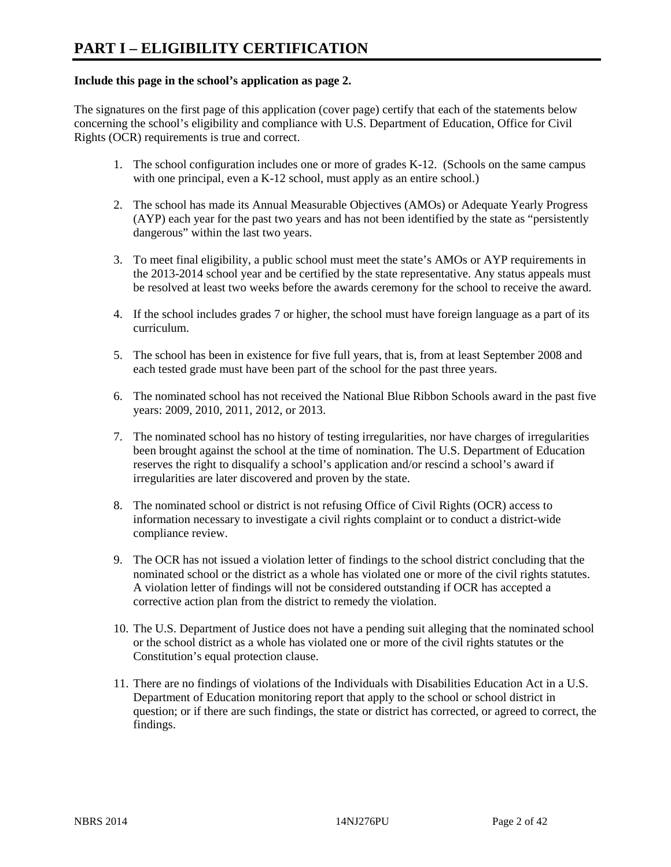### **Include this page in the school's application as page 2.**

The signatures on the first page of this application (cover page) certify that each of the statements below concerning the school's eligibility and compliance with U.S. Department of Education, Office for Civil Rights (OCR) requirements is true and correct.

- 1. The school configuration includes one or more of grades K-12. (Schools on the same campus with one principal, even a K-12 school, must apply as an entire school.)
- 2. The school has made its Annual Measurable Objectives (AMOs) or Adequate Yearly Progress (AYP) each year for the past two years and has not been identified by the state as "persistently dangerous" within the last two years.
- 3. To meet final eligibility, a public school must meet the state's AMOs or AYP requirements in the 2013-2014 school year and be certified by the state representative. Any status appeals must be resolved at least two weeks before the awards ceremony for the school to receive the award.
- 4. If the school includes grades 7 or higher, the school must have foreign language as a part of its curriculum.
- 5. The school has been in existence for five full years, that is, from at least September 2008 and each tested grade must have been part of the school for the past three years.
- 6. The nominated school has not received the National Blue Ribbon Schools award in the past five years: 2009, 2010, 2011, 2012, or 2013.
- 7. The nominated school has no history of testing irregularities, nor have charges of irregularities been brought against the school at the time of nomination. The U.S. Department of Education reserves the right to disqualify a school's application and/or rescind a school's award if irregularities are later discovered and proven by the state.
- 8. The nominated school or district is not refusing Office of Civil Rights (OCR) access to information necessary to investigate a civil rights complaint or to conduct a district-wide compliance review.
- 9. The OCR has not issued a violation letter of findings to the school district concluding that the nominated school or the district as a whole has violated one or more of the civil rights statutes. A violation letter of findings will not be considered outstanding if OCR has accepted a corrective action plan from the district to remedy the violation.
- 10. The U.S. Department of Justice does not have a pending suit alleging that the nominated school or the school district as a whole has violated one or more of the civil rights statutes or the Constitution's equal protection clause.
- 11. There are no findings of violations of the Individuals with Disabilities Education Act in a U.S. Department of Education monitoring report that apply to the school or school district in question; or if there are such findings, the state or district has corrected, or agreed to correct, the findings.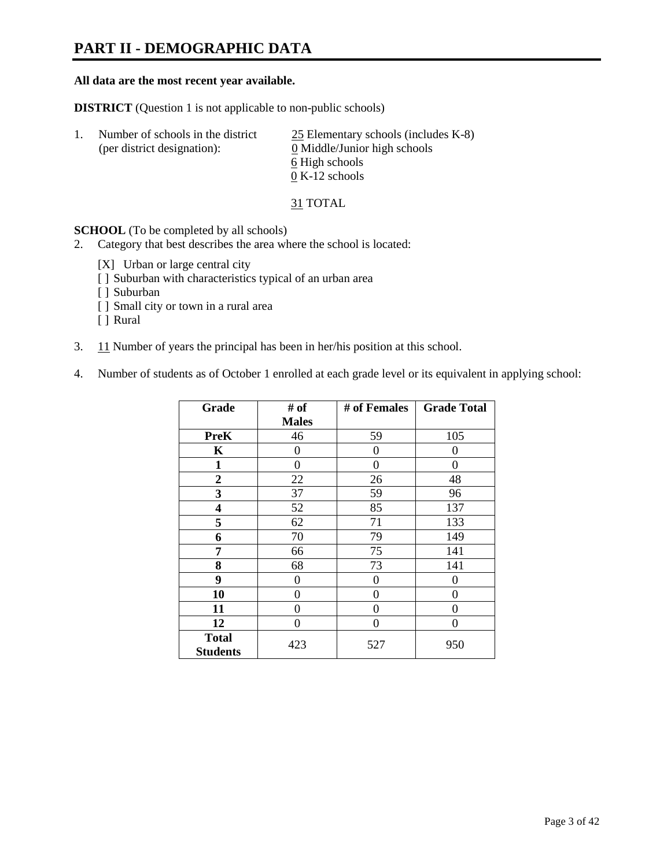# **PART II - DEMOGRAPHIC DATA**

### **All data are the most recent year available.**

**DISTRICT** (Question 1 is not applicable to non-public schools)

| Number of schools in the district<br>(per district designation): | 25 Elementary schools (includes K-8)<br>0 Middle/Junior high schools |  |
|------------------------------------------------------------------|----------------------------------------------------------------------|--|
|                                                                  | 6 High schools                                                       |  |
|                                                                  | $0 K-12$ schools                                                     |  |

31 TOTAL

**SCHOOL** (To be completed by all schools)

- 2. Category that best describes the area where the school is located:
	- [X] Urban or large central city
	- [ ] Suburban with characteristics typical of an urban area
	- [ ] Suburban
	- [ ] Small city or town in a rural area
	- [ ] Rural
- 3. 11 Number of years the principal has been in her/his position at this school.
- 4. Number of students as of October 1 enrolled at each grade level or its equivalent in applying school:

| Grade                           | # of         | # of Females | <b>Grade Total</b> |
|---------------------------------|--------------|--------------|--------------------|
|                                 | <b>Males</b> |              |                    |
| <b>PreK</b>                     | 46           | 59           | 105                |
| K                               | 0            | 0            | 0                  |
| 1                               | $\theta$     | 0            | 0                  |
| $\overline{2}$                  | 22           | 26           | 48                 |
| 3                               | 37           | 59           | 96                 |
| 4                               | 52           | 85           | 137                |
| 5                               | 62           | 71           | 133                |
| 6                               | 70           | 79           | 149                |
| 7                               | 66           | 75           | 141                |
| 8                               | 68           | 73           | 141                |
| 9                               | 0            | 0            | 0                  |
| 10                              | 0            | 0            | 0                  |
| 11                              | 0            | 0            | 0                  |
| 12                              | 0            | $\Omega$     | 0                  |
| <b>Total</b><br><b>Students</b> | 423          | 527          | 950                |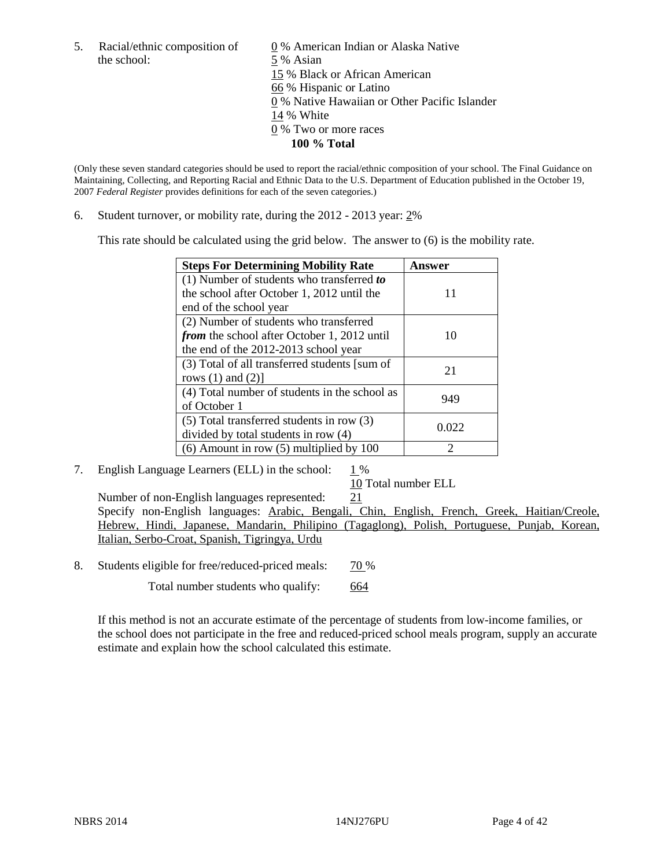the school: 5 % Asian

5. Racial/ethnic composition of  $0\%$  American Indian or Alaska Native 15 % Black or African American 66 % Hispanic or Latino 0 % Native Hawaiian or Other Pacific Islander 14 % White 0 % Two or more races **100 % Total** 

(Only these seven standard categories should be used to report the racial/ethnic composition of your school. The Final Guidance on Maintaining, Collecting, and Reporting Racial and Ethnic Data to the U.S. Department of Education published in the October 19, 2007 *Federal Register* provides definitions for each of the seven categories.)

6. Student turnover, or mobility rate, during the 2012 - 2013 year: 2%

This rate should be calculated using the grid below. The answer to (6) is the mobility rate.

| <b>Steps For Determining Mobility Rate</b>    | Answer |
|-----------------------------------------------|--------|
| (1) Number of students who transferred to     |        |
| the school after October 1, 2012 until the    | 11     |
| end of the school year                        |        |
| (2) Number of students who transferred        |        |
| from the school after October 1, 2012 until   | 10     |
| the end of the 2012-2013 school year          |        |
| (3) Total of all transferred students [sum of | 21     |
| rows $(1)$ and $(2)$ ]                        |        |
| (4) Total number of students in the school as | 949    |
| of October 1                                  |        |
| $(5)$ Total transferred students in row $(3)$ | 0.022  |
| divided by total students in row (4)          |        |
| $(6)$ Amount in row $(5)$ multiplied by 100   | っ      |

7. English Language Learners (ELL) in the school:  $1\%$ 

10 Total number ELL

Number of non-English languages represented: 21 Specify non-English languages: Arabic, Bengali, Chin, English, French, Greek, Haitian/Creole, Hebrew, Hindi, Japanese, Mandarin, Philipino (Tagaglong), Polish, Portuguese, Punjab, Korean, Italian, Serbo-Croat, Spanish, Tigringya, Urdu

8. Students eligible for free/reduced-priced meals:  $\frac{70\%}{ }$ 

Total number students who qualify: 664

If this method is not an accurate estimate of the percentage of students from low-income families, or the school does not participate in the free and reduced-priced school meals program, supply an accurate estimate and explain how the school calculated this estimate.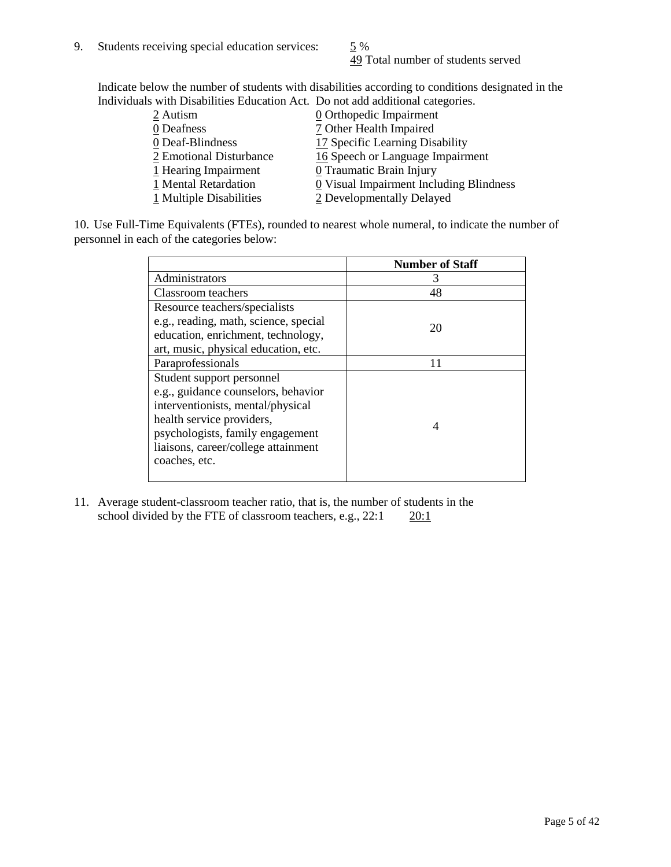49 Total number of students served

Indicate below the number of students with disabilities according to conditions designated in the Individuals with Disabilities Education Act. Do not add additional categories.

| 2 Autism                | $Q$ Orthopedic Impairment               |
|-------------------------|-----------------------------------------|
| 0 Deafness              | 7 Other Health Impaired                 |
| 0 Deaf-Blindness        | 17 Specific Learning Disability         |
| 2 Emotional Disturbance | 16 Speech or Language Impairment        |
| 1 Hearing Impairment    | 0 Traumatic Brain Injury                |
| 1 Mental Retardation    | 0 Visual Impairment Including Blindness |
| 1 Multiple Disabilities | 2 Developmentally Delayed               |
|                         |                                         |

10. Use Full-Time Equivalents (FTEs), rounded to nearest whole numeral, to indicate the number of personnel in each of the categories below:

|                                       | <b>Number of Staff</b> |
|---------------------------------------|------------------------|
| Administrators                        |                        |
| Classroom teachers                    | 48                     |
| Resource teachers/specialists         |                        |
| e.g., reading, math, science, special | 20                     |
| education, enrichment, technology,    |                        |
| art, music, physical education, etc.  |                        |
| Paraprofessionals                     | 11                     |
| Student support personnel             |                        |
| e.g., guidance counselors, behavior   |                        |
| interventionists, mental/physical     |                        |
| health service providers,             |                        |
| psychologists, family engagement      |                        |
| liaisons, career/college attainment   |                        |
| coaches, etc.                         |                        |
|                                       |                        |

11. Average student-classroom teacher ratio, that is, the number of students in the school divided by the FTE of classroom teachers, e.g.,  $22:1$   $20:1$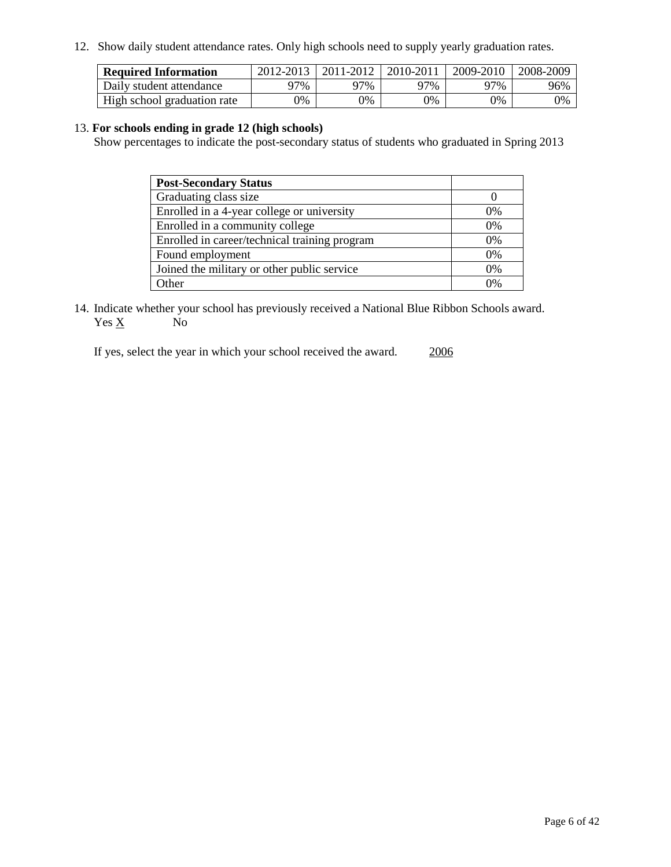12. Show daily student attendance rates. Only high schools need to supply yearly graduation rates.

| <b>Required Information</b> | 2012-2013     | 2011-2012  | 2010-2011 | 2009-2010 | 2008-2009 |
|-----------------------------|---------------|------------|-----------|-----------|-----------|
| Daily student attendance    | )7%           | 97%        | 97%       | 97%       | 96%       |
| High school graduation rate | $\frac{1}{2}$ | $\gamma\%$ | 0%        | 0%        | 0%        |

### 13. **For schools ending in grade 12 (high schools)**

Show percentages to indicate the post-secondary status of students who graduated in Spring 2013

| <b>Post-Secondary Status</b>                  |       |
|-----------------------------------------------|-------|
| Graduating class size                         |       |
| Enrolled in a 4-year college or university    | $0\%$ |
| Enrolled in a community college               | 0%    |
| Enrolled in career/technical training program | 0%    |
| Found employment                              | 0%    |
| Joined the military or other public service   | $0\%$ |
| <b>Other</b>                                  | በ%    |

14. Indicate whether your school has previously received a National Blue Ribbon Schools award.  $Yes \underline{X}$  No

If yes, select the year in which your school received the award. 2006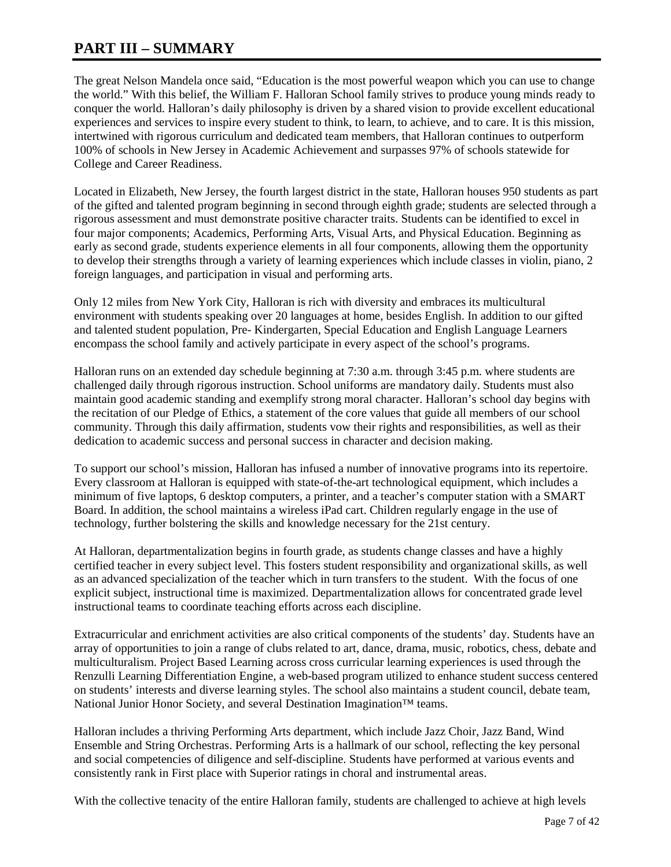# **PART III – SUMMARY**

The great Nelson Mandela once said, "Education is the most powerful weapon which you can use to change the world." With this belief, the William F. Halloran School family strives to produce young minds ready to conquer the world. Halloran's daily philosophy is driven by a shared vision to provide excellent educational experiences and services to inspire every student to think, to learn, to achieve, and to care. It is this mission, intertwined with rigorous curriculum and dedicated team members, that Halloran continues to outperform 100% of schools in New Jersey in Academic Achievement and surpasses 97% of schools statewide for College and Career Readiness.

Located in Elizabeth, New Jersey, the fourth largest district in the state, Halloran houses 950 students as part of the gifted and talented program beginning in second through eighth grade; students are selected through a rigorous assessment and must demonstrate positive character traits. Students can be identified to excel in four major components; Academics, Performing Arts, Visual Arts, and Physical Education. Beginning as early as second grade, students experience elements in all four components, allowing them the opportunity to develop their strengths through a variety of learning experiences which include classes in violin, piano, 2 foreign languages, and participation in visual and performing arts.

Only 12 miles from New York City, Halloran is rich with diversity and embraces its multicultural environment with students speaking over 20 languages at home, besides English. In addition to our gifted and talented student population, Pre- Kindergarten, Special Education and English Language Learners encompass the school family and actively participate in every aspect of the school's programs.

Halloran runs on an extended day schedule beginning at 7:30 a.m. through 3:45 p.m. where students are challenged daily through rigorous instruction. School uniforms are mandatory daily. Students must also maintain good academic standing and exemplify strong moral character. Halloran's school day begins with the recitation of our Pledge of Ethics, a statement of the core values that guide all members of our school community. Through this daily affirmation, students vow their rights and responsibilities, as well as their dedication to academic success and personal success in character and decision making.

To support our school's mission, Halloran has infused a number of innovative programs into its repertoire. Every classroom at Halloran is equipped with state-of-the-art technological equipment, which includes a minimum of five laptops, 6 desktop computers, a printer, and a teacher's computer station with a SMART Board. In addition, the school maintains a wireless iPad cart. Children regularly engage in the use of technology, further bolstering the skills and knowledge necessary for the 21st century.

At Halloran, departmentalization begins in fourth grade, as students change classes and have a highly certified teacher in every subject level. This fosters student responsibility and organizational skills, as well as an advanced specialization of the teacher which in turn transfers to the student. With the focus of one explicit subject, instructional time is maximized. Departmentalization allows for concentrated grade level instructional teams to coordinate teaching efforts across each discipline.

Extracurricular and enrichment activities are also critical components of the students' day. Students have an array of opportunities to join a range of clubs related to art, dance, drama, music, robotics, chess, debate and multiculturalism. Project Based Learning across cross curricular learning experiences is used through the Renzulli Learning Differentiation Engine, a web-based program utilized to enhance student success centered on students' interests and diverse learning styles. The school also maintains a student council, debate team, National Junior Honor Society, and several Destination Imagination<sup>™</sup> teams.

Halloran includes a thriving Performing Arts department, which include Jazz Choir, Jazz Band, Wind Ensemble and String Orchestras. Performing Arts is a hallmark of our school, reflecting the key personal and social competencies of diligence and self-discipline. Students have performed at various events and consistently rank in First place with Superior ratings in choral and instrumental areas.

With the collective tenacity of the entire Halloran family, students are challenged to achieve at high levels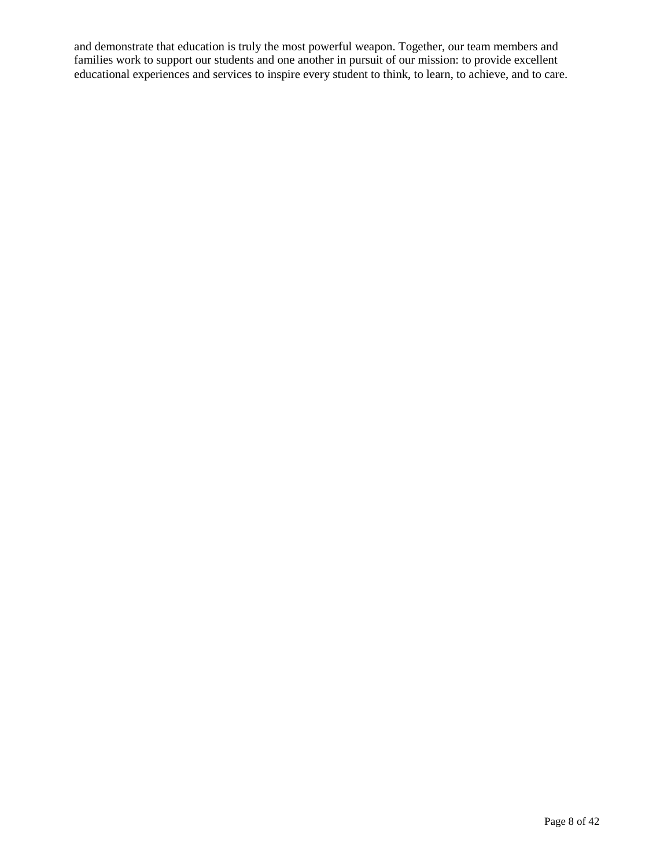and demonstrate that education is truly the most powerful weapon. Together, our team members and families work to support our students and one another in pursuit of our mission: to provide excellent educational experiences and services to inspire every student to think, to learn, to achieve, and to care.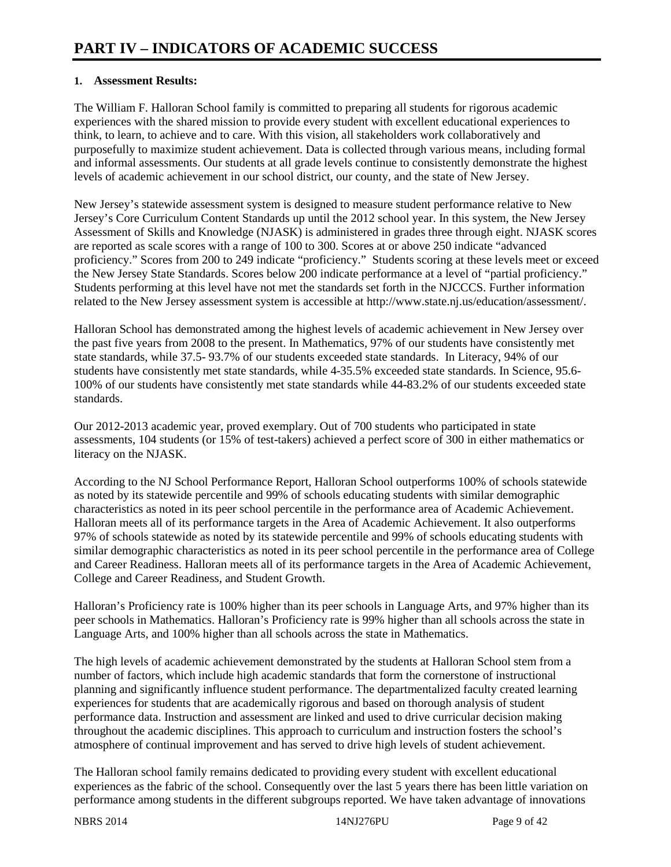### **1. Assessment Results:**

The William F. Halloran School family is committed to preparing all students for rigorous academic experiences with the shared mission to provide every student with excellent educational experiences to think, to learn, to achieve and to care. With this vision, all stakeholders work collaboratively and purposefully to maximize student achievement. Data is collected through various means, including formal and informal assessments. Our students at all grade levels continue to consistently demonstrate the highest levels of academic achievement in our school district, our county, and the state of New Jersey.

New Jersey's statewide assessment system is designed to measure student performance relative to New Jersey's Core Curriculum Content Standards up until the 2012 school year. In this system, the New Jersey Assessment of Skills and Knowledge (NJASK) is administered in grades three through eight. NJASK scores are reported as scale scores with a range of 100 to 300. Scores at or above 250 indicate "advanced proficiency." Scores from 200 to 249 indicate "proficiency." Students scoring at these levels meet or exceed the New Jersey State Standards. Scores below 200 indicate performance at a level of "partial proficiency." Students performing at this level have not met the standards set forth in the NJCCCS. Further information related to the New Jersey assessment system is accessible at http://www.state.nj.us/education/assessment/.

Halloran School has demonstrated among the highest levels of academic achievement in New Jersey over the past five years from 2008 to the present. In Mathematics, 97% of our students have consistently met state standards, while 37.5- 93.7% of our students exceeded state standards. In Literacy, 94% of our students have consistently met state standards, while 4-35.5% exceeded state standards. In Science, 95.6- 100% of our students have consistently met state standards while 44-83.2% of our students exceeded state standards.

Our 2012-2013 academic year, proved exemplary. Out of 700 students who participated in state assessments, 104 students (or 15% of test-takers) achieved a perfect score of 300 in either mathematics or literacy on the NJASK.

According to the NJ School Performance Report, Halloran School outperforms 100% of schools statewide as noted by its statewide percentile and 99% of schools educating students with similar demographic characteristics as noted in its peer school percentile in the performance area of Academic Achievement. Halloran meets all of its performance targets in the Area of Academic Achievement. It also outperforms 97% of schools statewide as noted by its statewide percentile and 99% of schools educating students with similar demographic characteristics as noted in its peer school percentile in the performance area of College and Career Readiness. Halloran meets all of its performance targets in the Area of Academic Achievement, College and Career Readiness, and Student Growth.

Halloran's Proficiency rate is 100% higher than its peer schools in Language Arts, and 97% higher than its peer schools in Mathematics. Halloran's Proficiency rate is 99% higher than all schools across the state in Language Arts, and 100% higher than all schools across the state in Mathematics.

The high levels of academic achievement demonstrated by the students at Halloran School stem from a number of factors, which include high academic standards that form the cornerstone of instructional planning and significantly influence student performance. The departmentalized faculty created learning experiences for students that are academically rigorous and based on thorough analysis of student performance data. Instruction and assessment are linked and used to drive curricular decision making throughout the academic disciplines. This approach to curriculum and instruction fosters the school's atmosphere of continual improvement and has served to drive high levels of student achievement.

The Halloran school family remains dedicated to providing every student with excellent educational experiences as the fabric of the school. Consequently over the last 5 years there has been little variation on performance among students in the different subgroups reported. We have taken advantage of innovations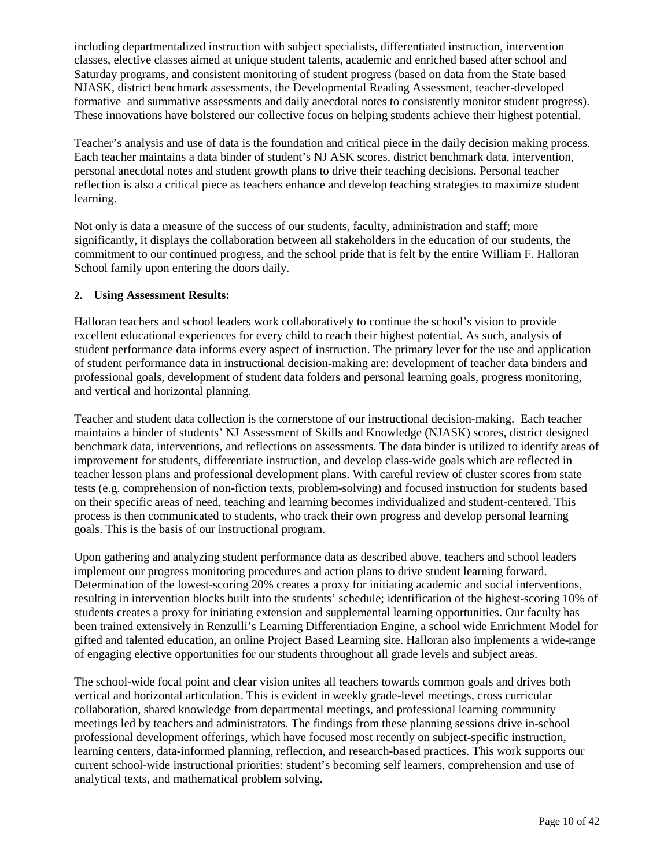including departmentalized instruction with subject specialists, differentiated instruction, intervention classes, elective classes aimed at unique student talents, academic and enriched based after school and Saturday programs, and consistent monitoring of student progress (based on data from the State based NJASK, district benchmark assessments, the Developmental Reading Assessment, teacher-developed formative and summative assessments and daily anecdotal notes to consistently monitor student progress). These innovations have bolstered our collective focus on helping students achieve their highest potential.

Teacher's analysis and use of data is the foundation and critical piece in the daily decision making process. Each teacher maintains a data binder of student's NJ ASK scores, district benchmark data, intervention, personal anecdotal notes and student growth plans to drive their teaching decisions. Personal teacher reflection is also a critical piece as teachers enhance and develop teaching strategies to maximize student learning.

Not only is data a measure of the success of our students, faculty, administration and staff; more significantly, it displays the collaboration between all stakeholders in the education of our students, the commitment to our continued progress, and the school pride that is felt by the entire William F. Halloran School family upon entering the doors daily.

### **2. Using Assessment Results:**

Halloran teachers and school leaders work collaboratively to continue the school's vision to provide excellent educational experiences for every child to reach their highest potential. As such, analysis of student performance data informs every aspect of instruction. The primary lever for the use and application of student performance data in instructional decision-making are: development of teacher data binders and professional goals, development of student data folders and personal learning goals, progress monitoring, and vertical and horizontal planning.

Teacher and student data collection is the cornerstone of our instructional decision-making. Each teacher maintains a binder of students' NJ Assessment of Skills and Knowledge (NJASK) scores, district designed benchmark data, interventions, and reflections on assessments. The data binder is utilized to identify areas of improvement for students, differentiate instruction, and develop class-wide goals which are reflected in teacher lesson plans and professional development plans. With careful review of cluster scores from state tests (e.g. comprehension of non-fiction texts, problem-solving) and focused instruction for students based on their specific areas of need, teaching and learning becomes individualized and student-centered. This process is then communicated to students, who track their own progress and develop personal learning goals. This is the basis of our instructional program.

Upon gathering and analyzing student performance data as described above, teachers and school leaders implement our progress monitoring procedures and action plans to drive student learning forward. Determination of the lowest-scoring 20% creates a proxy for initiating academic and social interventions, resulting in intervention blocks built into the students' schedule; identification of the highest-scoring 10% of students creates a proxy for initiating extension and supplemental learning opportunities. Our faculty has been trained extensively in Renzulli's Learning Differentiation Engine, a school wide Enrichment Model for gifted and talented education, an online Project Based Learning site. Halloran also implements a wide-range of engaging elective opportunities for our students throughout all grade levels and subject areas.

The school-wide focal point and clear vision unites all teachers towards common goals and drives both vertical and horizontal articulation. This is evident in weekly grade-level meetings, cross curricular collaboration, shared knowledge from departmental meetings, and professional learning community meetings led by teachers and administrators. The findings from these planning sessions drive in-school professional development offerings, which have focused most recently on subject-specific instruction, learning centers, data-informed planning, reflection, and research-based practices. This work supports our current school-wide instructional priorities: student's becoming self learners, comprehension and use of analytical texts, and mathematical problem solving.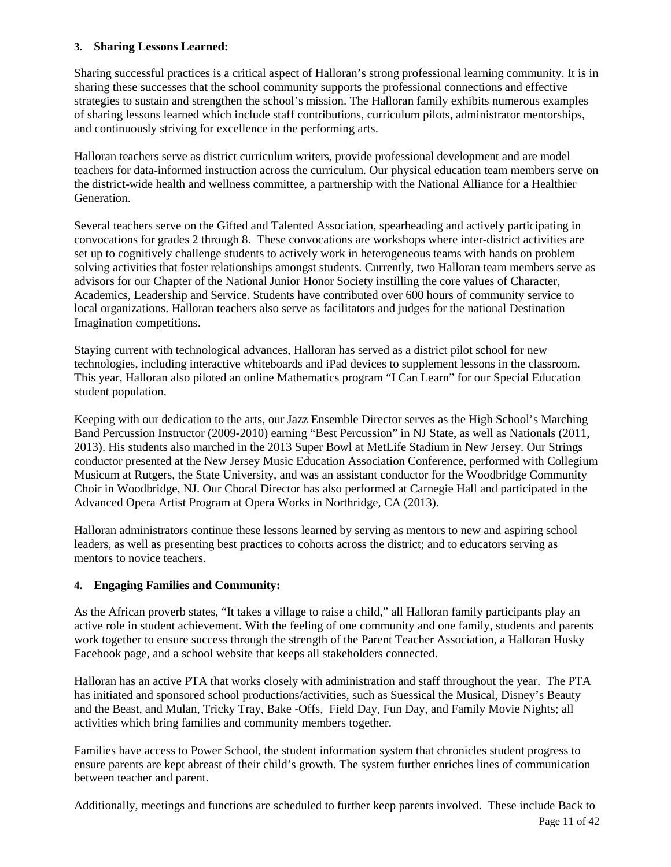### **3. Sharing Lessons Learned:**

Sharing successful practices is a critical aspect of Halloran's strong professional learning community. It is in sharing these successes that the school community supports the professional connections and effective strategies to sustain and strengthen the school's mission. The Halloran family exhibits numerous examples of sharing lessons learned which include staff contributions, curriculum pilots, administrator mentorships, and continuously striving for excellence in the performing arts.

Halloran teachers serve as district curriculum writers, provide professional development and are model teachers for data-informed instruction across the curriculum. Our physical education team members serve on the district-wide health and wellness committee, a partnership with the National Alliance for a Healthier Generation.

Several teachers serve on the Gifted and Talented Association, spearheading and actively participating in convocations for grades 2 through 8. These convocations are workshops where inter-district activities are set up to cognitively challenge students to actively work in heterogeneous teams with hands on problem solving activities that foster relationships amongst students. Currently, two Halloran team members serve as advisors for our Chapter of the National Junior Honor Society instilling the core values of Character, Academics, Leadership and Service. Students have contributed over 600 hours of community service to local organizations. Halloran teachers also serve as facilitators and judges for the national Destination Imagination competitions.

Staying current with technological advances, Halloran has served as a district pilot school for new technologies, including interactive whiteboards and iPad devices to supplement lessons in the classroom. This year, Halloran also piloted an online Mathematics program "I Can Learn" for our Special Education student population.

Keeping with our dedication to the arts, our Jazz Ensemble Director serves as the High School's Marching Band Percussion Instructor (2009-2010) earning "Best Percussion" in NJ State, as well as Nationals (2011, 2013). His students also marched in the 2013 Super Bowl at MetLife Stadium in New Jersey. Our Strings conductor presented at the New Jersey Music Education Association Conference, performed with Collegium Musicum at Rutgers, the State University, and was an assistant conductor for the Woodbridge Community Choir in Woodbridge, NJ. Our Choral Director has also performed at Carnegie Hall and participated in the Advanced Opera Artist Program at Opera Works in Northridge, CA (2013).

Halloran administrators continue these lessons learned by serving as mentors to new and aspiring school leaders, as well as presenting best practices to cohorts across the district; and to educators serving as mentors to novice teachers.

### **4. Engaging Families and Community:**

As the African proverb states, "It takes a village to raise a child," all Halloran family participants play an active role in student achievement. With the feeling of one community and one family, students and parents work together to ensure success through the strength of the Parent Teacher Association, a Halloran Husky Facebook page, and a school website that keeps all stakeholders connected.

Halloran has an active PTA that works closely with administration and staff throughout the year. The PTA has initiated and sponsored school productions/activities, such as Suessical the Musical, Disney's Beauty and the Beast, and Mulan, Tricky Tray, Bake -Offs, Field Day, Fun Day, and Family Movie Nights; all activities which bring families and community members together.

Families have access to Power School, the student information system that chronicles student progress to ensure parents are kept abreast of their child's growth. The system further enriches lines of communication between teacher and parent.

Page 11 of 42 Additionally, meetings and functions are scheduled to further keep parents involved. These include Back to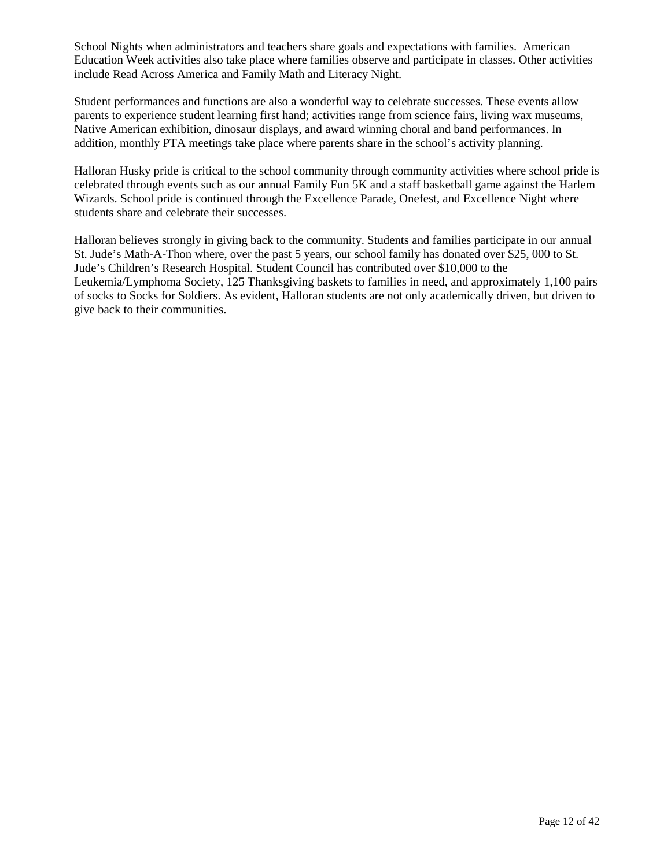School Nights when administrators and teachers share goals and expectations with families. American Education Week activities also take place where families observe and participate in classes. Other activities include Read Across America and Family Math and Literacy Night.

Student performances and functions are also a wonderful way to celebrate successes. These events allow parents to experience student learning first hand; activities range from science fairs, living wax museums, Native American exhibition, dinosaur displays, and award winning choral and band performances. In addition, monthly PTA meetings take place where parents share in the school's activity planning.

Halloran Husky pride is critical to the school community through community activities where school pride is celebrated through events such as our annual Family Fun 5K and a staff basketball game against the Harlem Wizards. School pride is continued through the Excellence Parade, Onefest, and Excellence Night where students share and celebrate their successes.

Halloran believes strongly in giving back to the community. Students and families participate in our annual St. Jude's Math-A-Thon where, over the past 5 years, our school family has donated over \$25, 000 to St. Jude's Children's Research Hospital. Student Council has contributed over \$10,000 to the Leukemia/Lymphoma Society, 125 Thanksgiving baskets to families in need, and approximately 1,100 pairs of socks to Socks for Soldiers. As evident, Halloran students are not only academically driven, but driven to give back to their communities.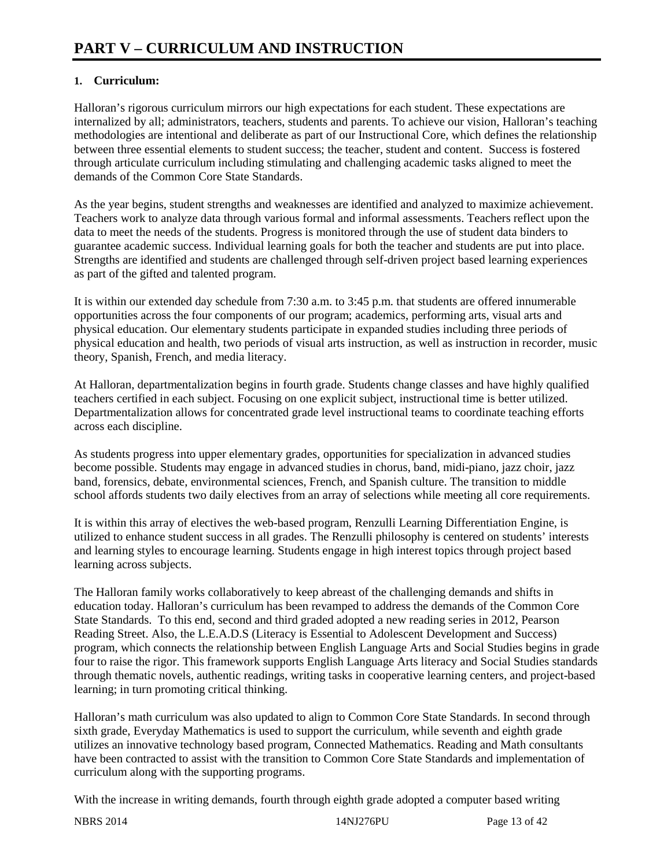### **1. Curriculum:**

Halloran's rigorous curriculum mirrors our high expectations for each student. These expectations are internalized by all; administrators, teachers, students and parents. To achieve our vision, Halloran's teaching methodologies are intentional and deliberate as part of our Instructional Core, which defines the relationship between three essential elements to student success; the teacher, student and content. Success is fostered through articulate curriculum including stimulating and challenging academic tasks aligned to meet the demands of the Common Core State Standards.

As the year begins, student strengths and weaknesses are identified and analyzed to maximize achievement. Teachers work to analyze data through various formal and informal assessments. Teachers reflect upon the data to meet the needs of the students. Progress is monitored through the use of student data binders to guarantee academic success. Individual learning goals for both the teacher and students are put into place. Strengths are identified and students are challenged through self-driven project based learning experiences as part of the gifted and talented program.

It is within our extended day schedule from 7:30 a.m. to 3:45 p.m. that students are offered innumerable opportunities across the four components of our program; academics, performing arts, visual arts and physical education. Our elementary students participate in expanded studies including three periods of physical education and health, two periods of visual arts instruction, as well as instruction in recorder, music theory, Spanish, French, and media literacy.

At Halloran, departmentalization begins in fourth grade. Students change classes and have highly qualified teachers certified in each subject. Focusing on one explicit subject, instructional time is better utilized. Departmentalization allows for concentrated grade level instructional teams to coordinate teaching efforts across each discipline.

As students progress into upper elementary grades, opportunities for specialization in advanced studies become possible. Students may engage in advanced studies in chorus, band, midi-piano, jazz choir, jazz band, forensics, debate, environmental sciences, French, and Spanish culture. The transition to middle school affords students two daily electives from an array of selections while meeting all core requirements.

It is within this array of electives the web-based program, Renzulli Learning Differentiation Engine, is utilized to enhance student success in all grades. The Renzulli philosophy is centered on students' interests and learning styles to encourage learning. Students engage in high interest topics through project based learning across subjects.

The Halloran family works collaboratively to keep abreast of the challenging demands and shifts in education today. Halloran's curriculum has been revamped to address the demands of the Common Core State Standards. To this end, second and third graded adopted a new reading series in 2012, Pearson Reading Street. Also, the L.E.A.D.S (Literacy is Essential to Adolescent Development and Success) program, which connects the relationship between English Language Arts and Social Studies begins in grade four to raise the rigor. This framework supports English Language Arts literacy and Social Studies standards through thematic novels, authentic readings, writing tasks in cooperative learning centers, and project-based learning; in turn promoting critical thinking.

Halloran's math curriculum was also updated to align to Common Core State Standards. In second through sixth grade, Everyday Mathematics is used to support the curriculum, while seventh and eighth grade utilizes an innovative technology based program, Connected Mathematics. Reading and Math consultants have been contracted to assist with the transition to Common Core State Standards and implementation of curriculum along with the supporting programs.

With the increase in writing demands, fourth through eighth grade adopted a computer based writing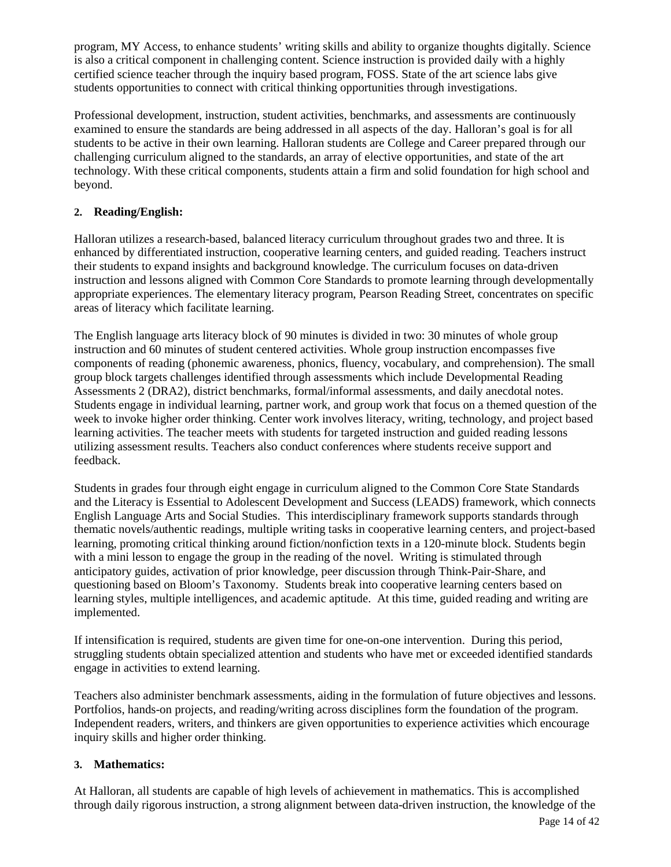program, MY Access, to enhance students' writing skills and ability to organize thoughts digitally. Science is also a critical component in challenging content. Science instruction is provided daily with a highly certified science teacher through the inquiry based program, FOSS. State of the art science labs give students opportunities to connect with critical thinking opportunities through investigations.

Professional development, instruction, student activities, benchmarks, and assessments are continuously examined to ensure the standards are being addressed in all aspects of the day. Halloran's goal is for all students to be active in their own learning. Halloran students are College and Career prepared through our challenging curriculum aligned to the standards, an array of elective opportunities, and state of the art technology. With these critical components, students attain a firm and solid foundation for high school and beyond.

### **2. Reading/English:**

Halloran utilizes a research-based, balanced literacy curriculum throughout grades two and three. It is enhanced by differentiated instruction, cooperative learning centers, and guided reading. Teachers instruct their students to expand insights and background knowledge. The curriculum focuses on data-driven instruction and lessons aligned with Common Core Standards to promote learning through developmentally appropriate experiences. The elementary literacy program, Pearson Reading Street, concentrates on specific areas of literacy which facilitate learning.

The English language arts literacy block of 90 minutes is divided in two: 30 minutes of whole group instruction and 60 minutes of student centered activities. Whole group instruction encompasses five components of reading (phonemic awareness, phonics, fluency, vocabulary, and comprehension). The small group block targets challenges identified through assessments which include Developmental Reading Assessments 2 (DRA2), district benchmarks, formal/informal assessments, and daily anecdotal notes. Students engage in individual learning, partner work, and group work that focus on a themed question of the week to invoke higher order thinking. Center work involves literacy, writing, technology, and project based learning activities. The teacher meets with students for targeted instruction and guided reading lessons utilizing assessment results. Teachers also conduct conferences where students receive support and feedback.

Students in grades four through eight engage in curriculum aligned to the Common Core State Standards and the Literacy is Essential to Adolescent Development and Success (LEADS) framework, which connects English Language Arts and Social Studies. This interdisciplinary framework supports standards through thematic novels/authentic readings, multiple writing tasks in cooperative learning centers, and project-based learning, promoting critical thinking around fiction/nonfiction texts in a 120-minute block. Students begin with a mini lesson to engage the group in the reading of the novel. Writing is stimulated through anticipatory guides, activation of prior knowledge, peer discussion through Think-Pair-Share, and questioning based on Bloom's Taxonomy. Students break into cooperative learning centers based on learning styles, multiple intelligences, and academic aptitude. At this time, guided reading and writing are implemented.

If intensification is required, students are given time for one-on-one intervention. During this period, struggling students obtain specialized attention and students who have met or exceeded identified standards engage in activities to extend learning.

Teachers also administer benchmark assessments, aiding in the formulation of future objectives and lessons. Portfolios, hands-on projects, and reading/writing across disciplines form the foundation of the program. Independent readers, writers, and thinkers are given opportunities to experience activities which encourage inquiry skills and higher order thinking.

### **3. Mathematics:**

At Halloran, all students are capable of high levels of achievement in mathematics. This is accomplished through daily rigorous instruction, a strong alignment between data-driven instruction, the knowledge of the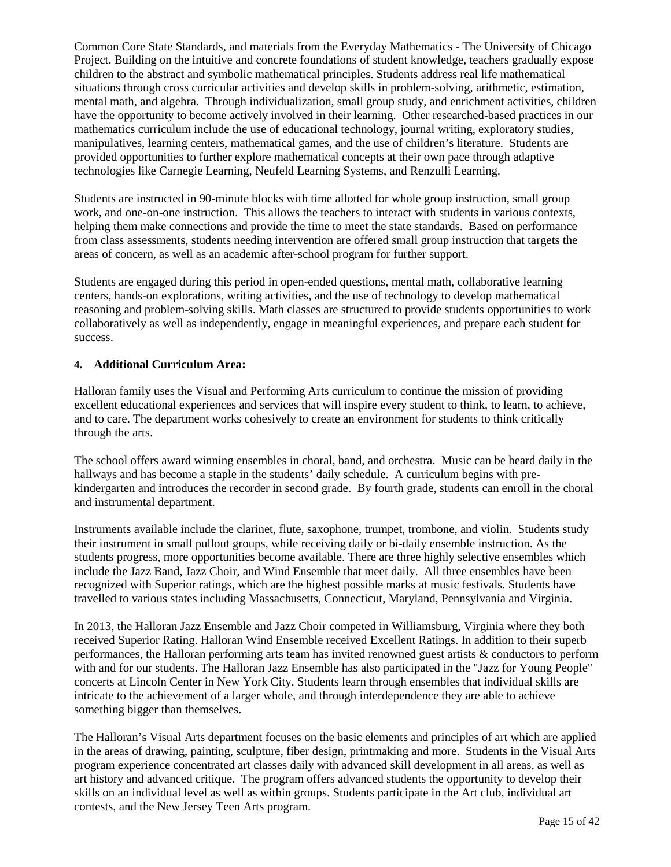Common Core State Standards, and materials from the Everyday Mathematics - The University of Chicago Project. Building on the intuitive and concrete foundations of student knowledge, teachers gradually expose children to the abstract and symbolic mathematical principles. Students address real life mathematical situations through cross curricular activities and develop skills in problem-solving, arithmetic, estimation, mental math, and algebra. Through individualization, small group study, and enrichment activities, children have the opportunity to become actively involved in their learning. Other researched-based practices in our mathematics curriculum include the use of educational technology, journal writing, exploratory studies, manipulatives, learning centers, mathematical games, and the use of children's literature. Students are provided opportunities to further explore mathematical concepts at their own pace through adaptive technologies like Carnegie Learning, Neufeld Learning Systems, and Renzulli Learning.

Students are instructed in 90-minute blocks with time allotted for whole group instruction, small group work, and one-on-one instruction. This allows the teachers to interact with students in various contexts, helping them make connections and provide the time to meet the state standards. Based on performance from class assessments, students needing intervention are offered small group instruction that targets the areas of concern, as well as an academic after-school program for further support.

Students are engaged during this period in open-ended questions, mental math, collaborative learning centers, hands-on explorations, writing activities, and the use of technology to develop mathematical reasoning and problem-solving skills. Math classes are structured to provide students opportunities to work collaboratively as well as independently, engage in meaningful experiences, and prepare each student for success.

### **4. Additional Curriculum Area:**

Halloran family uses the Visual and Performing Arts curriculum to continue the mission of providing excellent educational experiences and services that will inspire every student to think, to learn, to achieve, and to care. The department works cohesively to create an environment for students to think critically through the arts.

The school offers award winning ensembles in choral, band, and orchestra. Music can be heard daily in the hallways and has become a staple in the students' daily schedule. A curriculum begins with prekindergarten and introduces the recorder in second grade. By fourth grade, students can enroll in the choral and instrumental department.

Instruments available include the clarinet, flute, saxophone, trumpet, trombone, and violin. Students study their instrument in small pullout groups, while receiving daily or bi-daily ensemble instruction. As the students progress, more opportunities become available. There are three highly selective ensembles which include the Jazz Band, Jazz Choir, and Wind Ensemble that meet daily. All three ensembles have been recognized with Superior ratings, which are the highest possible marks at music festivals. Students have travelled to various states including Massachusetts, Connecticut, Maryland, Pennsylvania and Virginia.

In 2013, the Halloran Jazz Ensemble and Jazz Choir competed in Williamsburg, Virginia where they both received Superior Rating. Halloran Wind Ensemble received Excellent Ratings. In addition to their superb performances, the Halloran performing arts team has invited renowned guest artists & conductors to perform with and for our students. The Halloran Jazz Ensemble has also participated in the "Jazz for Young People" concerts at Lincoln Center in New York City. Students learn through ensembles that individual skills are intricate to the achievement of a larger whole, and through interdependence they are able to achieve something bigger than themselves.

The Halloran's Visual Arts department focuses on the basic elements and principles of art which are applied in the areas of drawing, painting, sculpture, fiber design, printmaking and more. Students in the Visual Arts program experience concentrated art classes daily with advanced skill development in all areas, as well as art history and advanced critique. The program offers advanced students the opportunity to develop their skills on an individual level as well as within groups. Students participate in the Art club, individual art contests, and the New Jersey Teen Arts program.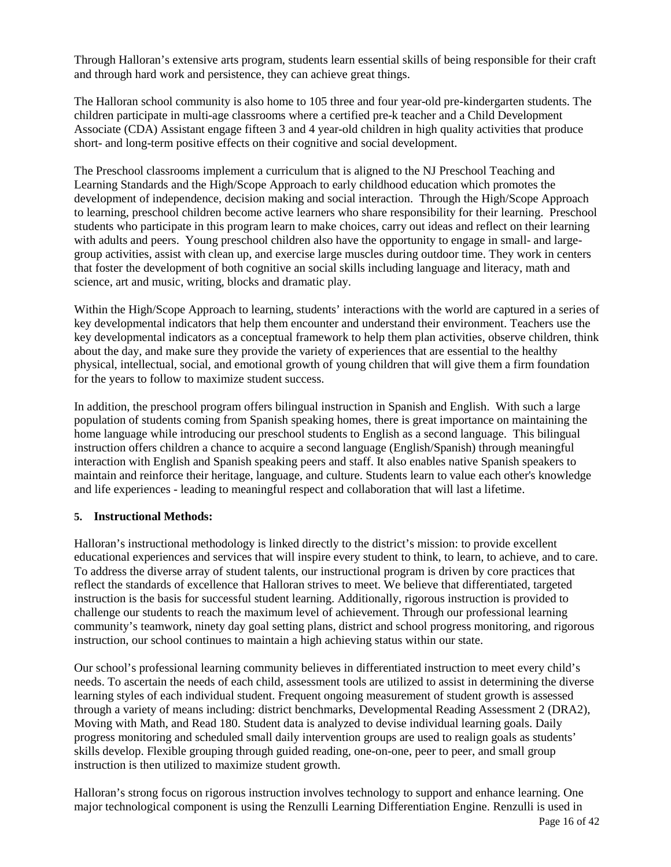Through Halloran's extensive arts program, students learn essential skills of being responsible for their craft and through hard work and persistence, they can achieve great things.

The Halloran school community is also home to 105 three and four year-old pre-kindergarten students. The children participate in multi-age classrooms where a certified pre-k teacher and a Child Development Associate (CDA) Assistant engage fifteen 3 and 4 year-old children in high quality activities that produce short- and long-term positive effects on their cognitive and social development.

The Preschool classrooms implement a curriculum that is aligned to the NJ Preschool Teaching and Learning Standards and the High/Scope Approach to early childhood education which promotes the development of independence, decision making and social interaction. Through the High/Scope Approach to learning, preschool children become active learners who share responsibility for their learning. Preschool students who participate in this program learn to make choices, carry out ideas and reflect on their learning with adults and peers. Young preschool children also have the opportunity to engage in small- and largegroup activities, assist with clean up, and exercise large muscles during outdoor time. They work in centers that foster the development of both cognitive an social skills including language and literacy, math and science, art and music, writing, blocks and dramatic play.

Within the High/Scope Approach to learning, students' interactions with the world are captured in a series of key developmental indicators that help them encounter and understand their environment. Teachers use the key developmental indicators as a conceptual framework to help them plan activities, observe children, think about the day, and make sure they provide the variety of experiences that are essential to the healthy physical, intellectual, social, and emotional growth of young children that will give them a firm foundation for the years to follow to maximize student success.

In addition, the preschool program offers bilingual instruction in Spanish and English. With such a large population of students coming from Spanish speaking homes, there is great importance on maintaining the home language while introducing our preschool students to English as a second language. This bilingual instruction offers children a chance to acquire a second language (English/Spanish) through meaningful interaction with English and Spanish speaking peers and staff. It also enables native Spanish speakers to maintain and reinforce their heritage, language, and culture. Students learn to value each other's knowledge and life experiences - leading to meaningful respect and collaboration that will last a lifetime.

### **5. Instructional Methods:**

Halloran's instructional methodology is linked directly to the district's mission: to provide excellent educational experiences and services that will inspire every student to think, to learn, to achieve, and to care. To address the diverse array of student talents, our instructional program is driven by core practices that reflect the standards of excellence that Halloran strives to meet. We believe that differentiated, targeted instruction is the basis for successful student learning. Additionally, rigorous instruction is provided to challenge our students to reach the maximum level of achievement. Through our professional learning community's teamwork, ninety day goal setting plans, district and school progress monitoring, and rigorous instruction, our school continues to maintain a high achieving status within our state.

Our school's professional learning community believes in differentiated instruction to meet every child's needs. To ascertain the needs of each child, assessment tools are utilized to assist in determining the diverse learning styles of each individual student. Frequent ongoing measurement of student growth is assessed through a variety of means including: district benchmarks, Developmental Reading Assessment 2 (DRA2), Moving with Math, and Read 180. Student data is analyzed to devise individual learning goals. Daily progress monitoring and scheduled small daily intervention groups are used to realign goals as students' skills develop. Flexible grouping through guided reading, one-on-one, peer to peer, and small group instruction is then utilized to maximize student growth.

Halloran's strong focus on rigorous instruction involves technology to support and enhance learning. One major technological component is using the Renzulli Learning Differentiation Engine. Renzulli is used in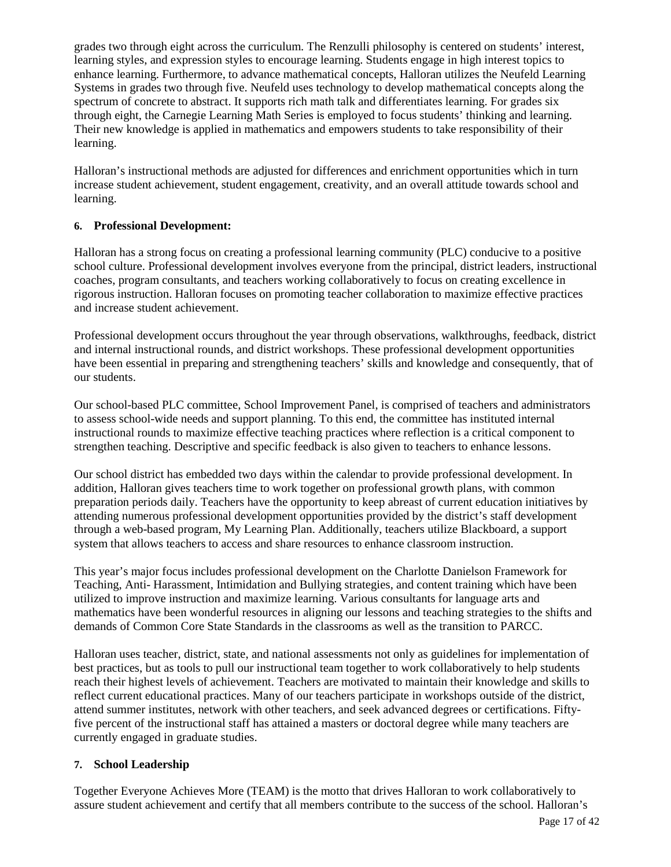grades two through eight across the curriculum. The Renzulli philosophy is centered on students' interest, learning styles, and expression styles to encourage learning. Students engage in high interest topics to enhance learning. Furthermore, to advance mathematical concepts, Halloran utilizes the Neufeld Learning Systems in grades two through five. Neufeld uses technology to develop mathematical concepts along the spectrum of concrete to abstract. It supports rich math talk and differentiates learning. For grades six through eight, the Carnegie Learning Math Series is employed to focus students' thinking and learning. Their new knowledge is applied in mathematics and empowers students to take responsibility of their learning.

Halloran's instructional methods are adjusted for differences and enrichment opportunities which in turn increase student achievement, student engagement, creativity, and an overall attitude towards school and learning.

### **6. Professional Development:**

Halloran has a strong focus on creating a professional learning community (PLC) conducive to a positive school culture. Professional development involves everyone from the principal, district leaders, instructional coaches, program consultants, and teachers working collaboratively to focus on creating excellence in rigorous instruction. Halloran focuses on promoting teacher collaboration to maximize effective practices and increase student achievement.

Professional development occurs throughout the year through observations, walkthroughs, feedback, district and internal instructional rounds, and district workshops. These professional development opportunities have been essential in preparing and strengthening teachers' skills and knowledge and consequently, that of our students.

Our school-based PLC committee, School Improvement Panel, is comprised of teachers and administrators to assess school-wide needs and support planning. To this end, the committee has instituted internal instructional rounds to maximize effective teaching practices where reflection is a critical component to strengthen teaching. Descriptive and specific feedback is also given to teachers to enhance lessons.

Our school district has embedded two days within the calendar to provide professional development. In addition, Halloran gives teachers time to work together on professional growth plans, with common preparation periods daily. Teachers have the opportunity to keep abreast of current education initiatives by attending numerous professional development opportunities provided by the district's staff development through a web-based program, My Learning Plan. Additionally, teachers utilize Blackboard, a support system that allows teachers to access and share resources to enhance classroom instruction.

This year's major focus includes professional development on the Charlotte Danielson Framework for Teaching, Anti- Harassment, Intimidation and Bullying strategies, and content training which have been utilized to improve instruction and maximize learning. Various consultants for language arts and mathematics have been wonderful resources in aligning our lessons and teaching strategies to the shifts and demands of Common Core State Standards in the classrooms as well as the transition to PARCC.

Halloran uses teacher, district, state, and national assessments not only as guidelines for implementation of best practices, but as tools to pull our instructional team together to work collaboratively to help students reach their highest levels of achievement. Teachers are motivated to maintain their knowledge and skills to reflect current educational practices. Many of our teachers participate in workshops outside of the district, attend summer institutes, network with other teachers, and seek advanced degrees or certifications. Fiftyfive percent of the instructional staff has attained a masters or doctoral degree while many teachers are currently engaged in graduate studies.

### **7. School Leadership**

Together Everyone Achieves More (TEAM) is the motto that drives Halloran to work collaboratively to assure student achievement and certify that all members contribute to the success of the school. Halloran's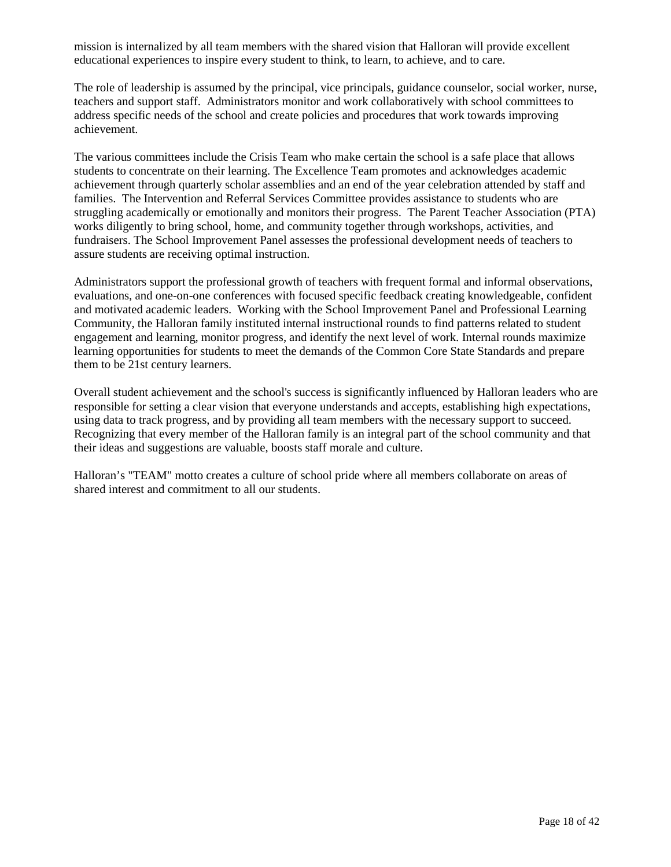mission is internalized by all team members with the shared vision that Halloran will provide excellent educational experiences to inspire every student to think, to learn, to achieve, and to care.

The role of leadership is assumed by the principal, vice principals, guidance counselor, social worker, nurse, teachers and support staff. Administrators monitor and work collaboratively with school committees to address specific needs of the school and create policies and procedures that work towards improving achievement.

The various committees include the Crisis Team who make certain the school is a safe place that allows students to concentrate on their learning. The Excellence Team promotes and acknowledges academic achievement through quarterly scholar assemblies and an end of the year celebration attended by staff and families. The Intervention and Referral Services Committee provides assistance to students who are struggling academically or emotionally and monitors their progress. The Parent Teacher Association (PTA) works diligently to bring school, home, and community together through workshops, activities, and fundraisers. The School Improvement Panel assesses the professional development needs of teachers to assure students are receiving optimal instruction.

Administrators support the professional growth of teachers with frequent formal and informal observations, evaluations, and one-on-one conferences with focused specific feedback creating knowledgeable, confident and motivated academic leaders. Working with the School Improvement Panel and Professional Learning Community, the Halloran family instituted internal instructional rounds to find patterns related to student engagement and learning, monitor progress, and identify the next level of work. Internal rounds maximize learning opportunities for students to meet the demands of the Common Core State Standards and prepare them to be 21st century learners.

Overall student achievement and the school's success is significantly influenced by Halloran leaders who are responsible for setting a clear vision that everyone understands and accepts, establishing high expectations, using data to track progress, and by providing all team members with the necessary support to succeed. Recognizing that every member of the Halloran family is an integral part of the school community and that their ideas and suggestions are valuable, boosts staff morale and culture.

Halloran's "TEAM" motto creates a culture of school pride where all members collaborate on areas of shared interest and commitment to all our students.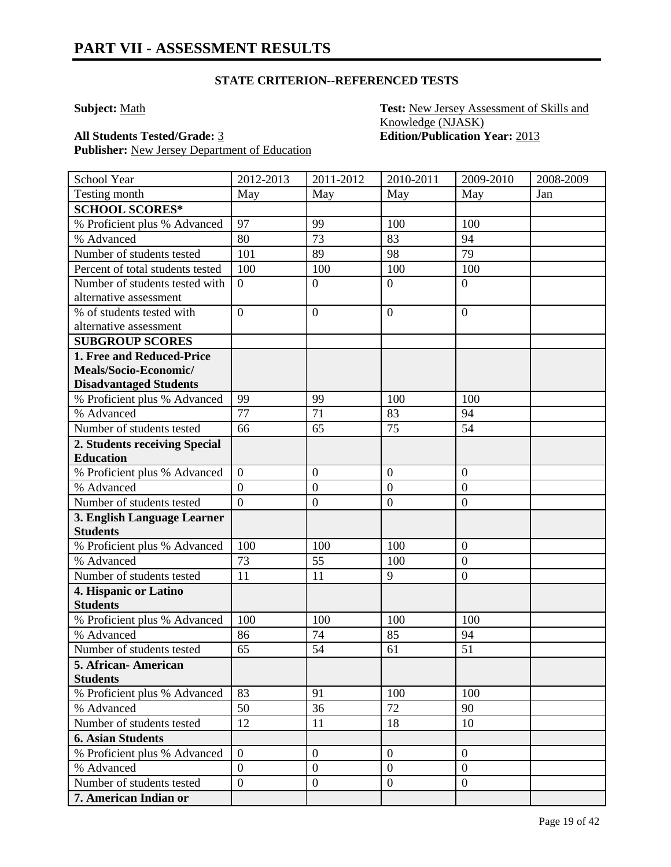### **STATE CRITERION--REFERENCED TESTS**

**Subject:** Math **Test:** New Jersey Assessment of Skills and Knowledge (NJASK) **All Students Tested/Grade:** 3 **Edition/Publication Year:** 2013

Publisher: New Jersey Department of Education

| School Year                      | 2012-2013        | 2011-2012        | 2010-2011        | 2009-2010        | 2008-2009 |
|----------------------------------|------------------|------------------|------------------|------------------|-----------|
| Testing month                    | May              | May              | May              | May              | Jan       |
| <b>SCHOOL SCORES*</b>            |                  |                  |                  |                  |           |
| % Proficient plus % Advanced     | 97               | 99               | 100              | 100              |           |
| % Advanced                       | 80               | 73               | 83               | 94               |           |
| Number of students tested        | 101              | 89               | 98               | 79               |           |
| Percent of total students tested | 100              | 100              | 100              | 100              |           |
| Number of students tested with   | $\overline{0}$   | $\overline{0}$   | $\overline{0}$   | $\overline{0}$   |           |
| alternative assessment           |                  |                  |                  |                  |           |
| % of students tested with        | $\overline{0}$   | $\mathbf{0}$     | $\boldsymbol{0}$ | $\overline{0}$   |           |
| alternative assessment           |                  |                  |                  |                  |           |
| <b>SUBGROUP SCORES</b>           |                  |                  |                  |                  |           |
| 1. Free and Reduced-Price        |                  |                  |                  |                  |           |
| Meals/Socio-Economic/            |                  |                  |                  |                  |           |
| <b>Disadvantaged Students</b>    |                  |                  |                  |                  |           |
| % Proficient plus % Advanced     | 99               | 99               | 100              | 100              |           |
| % Advanced                       | 77               | 71               | 83               | 94               |           |
| Number of students tested        | 66               | 65               | 75               | 54               |           |
| 2. Students receiving Special    |                  |                  |                  |                  |           |
| <b>Education</b>                 |                  |                  |                  |                  |           |
| % Proficient plus % Advanced     | $\overline{0}$   | $\boldsymbol{0}$ | $\boldsymbol{0}$ | $\boldsymbol{0}$ |           |
| % Advanced                       | $\overline{0}$   | $\boldsymbol{0}$ | $\overline{0}$   | $\overline{0}$   |           |
| Number of students tested        | $\overline{0}$   | $\boldsymbol{0}$ | $\boldsymbol{0}$ | $\boldsymbol{0}$ |           |
| 3. English Language Learner      |                  |                  |                  |                  |           |
| <b>Students</b>                  |                  |                  |                  |                  |           |
| % Proficient plus % Advanced     | 100              | 100              | 100              | $\boldsymbol{0}$ |           |
| % Advanced                       | 73               | 55               | 100              | $\overline{0}$   |           |
| Number of students tested        | 11               | 11               | 9                | $\boldsymbol{0}$ |           |
| 4. Hispanic or Latino            |                  |                  |                  |                  |           |
| <b>Students</b>                  |                  |                  |                  |                  |           |
| % Proficient plus % Advanced     | 100              | 100              | 100              | 100              |           |
| % Advanced                       | 86               | 74               | 85               | 94               |           |
| Number of students tested        | 65               | 54               | 61               | 51               |           |
| 5. African- American             |                  |                  |                  |                  |           |
| <b>Students</b>                  |                  |                  |                  |                  |           |
| % Proficient plus % Advanced     | 83               | 91               | 100              | 100              |           |
| % Advanced                       | 50               | 36               | 72               | 90               |           |
| Number of students tested        | 12               | 11               | 18               | 10               |           |
| <b>6. Asian Students</b>         |                  |                  |                  |                  |           |
| % Proficient plus % Advanced     | $\overline{0}$   | $\mathbf{0}$     | $\overline{0}$   | $\overline{0}$   |           |
| % Advanced                       | $\boldsymbol{0}$ | $\boldsymbol{0}$ | $\boldsymbol{0}$ | $\overline{0}$   |           |
| Number of students tested        | $\overline{0}$   | $\overline{0}$   | $\overline{0}$   | $\overline{0}$   |           |
| 7. American Indian or            |                  |                  |                  |                  |           |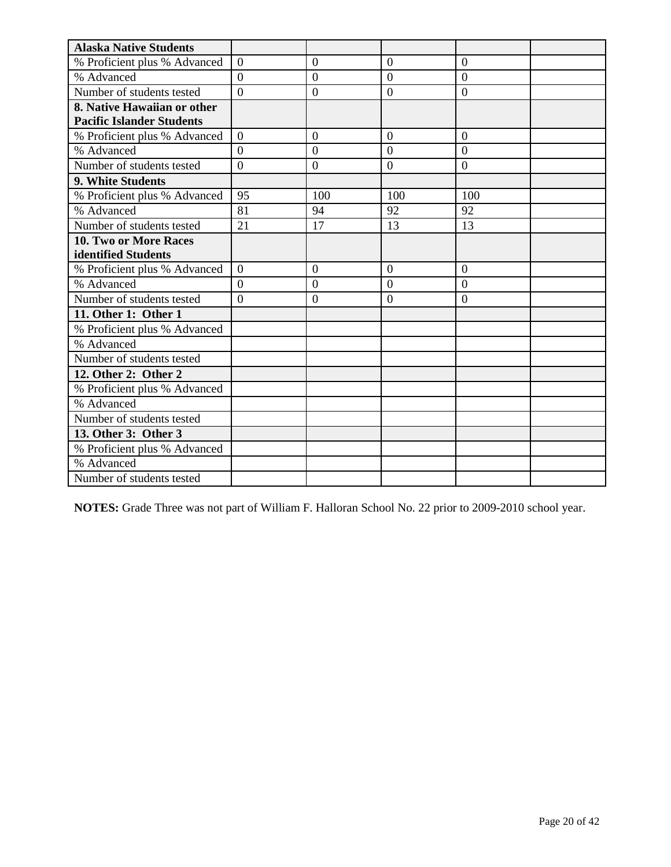| <b>Alaska Native Students</b>    |                |                  |                  |                |  |
|----------------------------------|----------------|------------------|------------------|----------------|--|
| % Proficient plus % Advanced     | $\overline{0}$ | $\boldsymbol{0}$ | $\overline{0}$   | $\mathbf{0}$   |  |
| % Advanced                       | $\overline{0}$ | $\overline{0}$   | $\overline{0}$   | $\overline{0}$ |  |
| Number of students tested        | $\overline{0}$ | $\mathbf{0}$     | $\overline{0}$   | $\theta$       |  |
| 8. Native Hawaiian or other      |                |                  |                  |                |  |
| <b>Pacific Islander Students</b> |                |                  |                  |                |  |
| % Proficient plus % Advanced     | $\overline{0}$ | $\theta$         | $\overline{0}$   | $\mathbf{0}$   |  |
| % Advanced                       | $\theta$       | $\overline{0}$   | $\theta$         | $\overline{0}$ |  |
| Number of students tested        | $\overline{0}$ | $\mathbf{0}$     | $\boldsymbol{0}$ | $\mathbf{0}$   |  |
| 9. White Students                |                |                  |                  |                |  |
| % Proficient plus % Advanced     | 95             | 100              | 100              | 100            |  |
| % Advanced                       | 81             | 94               | 92               | 92             |  |
| Number of students tested        | 21             | 17               | 13               | 13             |  |
| <b>10. Two or More Races</b>     |                |                  |                  |                |  |
| identified Students              |                |                  |                  |                |  |
| % Proficient plus % Advanced     | $\overline{0}$ | $\overline{0}$   | $\overline{0}$   | $\overline{0}$ |  |
| % Advanced                       | $\overline{0}$ | $\overline{0}$   | $\overline{0}$   | $\overline{0}$ |  |
| Number of students tested        | $\theta$       | $\overline{0}$   | $\overline{0}$   | $\Omega$       |  |
| 11. Other 1: Other 1             |                |                  |                  |                |  |
| % Proficient plus % Advanced     |                |                  |                  |                |  |
| % Advanced                       |                |                  |                  |                |  |
| Number of students tested        |                |                  |                  |                |  |
| 12. Other 2: Other 2             |                |                  |                  |                |  |
| % Proficient plus % Advanced     |                |                  |                  |                |  |
| % Advanced                       |                |                  |                  |                |  |
| Number of students tested        |                |                  |                  |                |  |
| 13. Other 3: Other 3             |                |                  |                  |                |  |
| % Proficient plus % Advanced     |                |                  |                  |                |  |
| % Advanced                       |                |                  |                  |                |  |
| Number of students tested        |                |                  |                  |                |  |

**NOTES:** Grade Three was not part of William F. Halloran School No. 22 prior to 2009-2010 school year.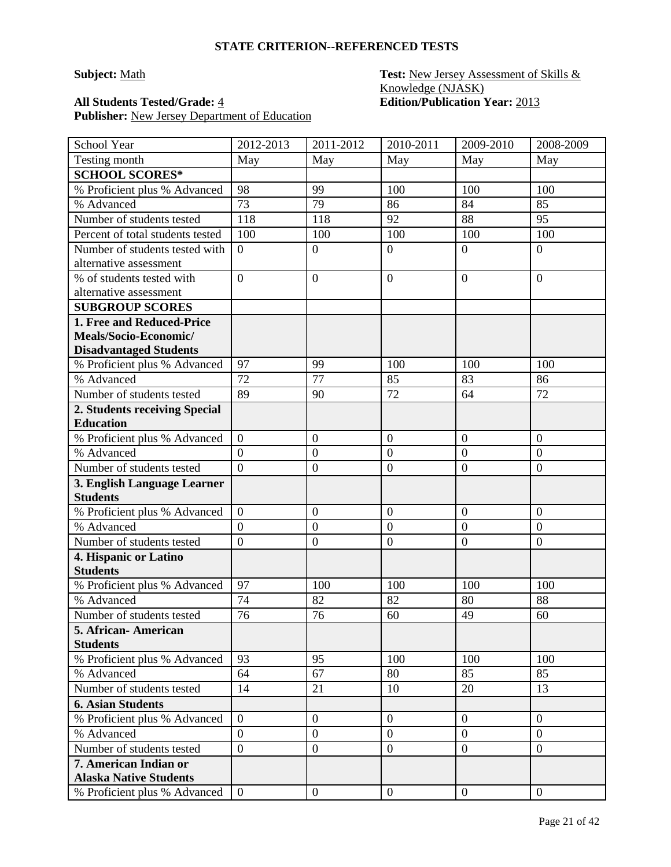### **Subject:** Math **Test:** New Jersey Assessment of Skills & Knowledge (NJASK) **All Students Tested/Grade:** 4 **Edition/Publication Year:** 2013

| School Year                                    | 2012-2013        | 2011-2012        | 2010-2011        | 2009-2010        | 2008-2009        |
|------------------------------------------------|------------------|------------------|------------------|------------------|------------------|
| Testing month                                  | May              | May              | May              | May              | May              |
| <b>SCHOOL SCORES*</b>                          |                  |                  |                  |                  |                  |
| % Proficient plus % Advanced                   | 98               | 99               | 100              | 100              | 100              |
| % Advanced                                     | 73               | 79               | 86               | 84               | 85               |
| Number of students tested                      | 118              | 118              | 92               | 88               | 95               |
| Percent of total students tested               | 100              | 100              | 100              | 100              | 100              |
| Number of students tested with                 | $\overline{0}$   | $\boldsymbol{0}$ | $\overline{0}$   | $\overline{0}$   | $\overline{0}$   |
| alternative assessment                         |                  |                  |                  |                  |                  |
| % of students tested with                      | $\overline{0}$   | $\overline{0}$   | $\overline{0}$   | $\overline{0}$   | $\overline{0}$   |
| alternative assessment                         |                  |                  |                  |                  |                  |
| <b>SUBGROUP SCORES</b>                         |                  |                  |                  |                  |                  |
| 1. Free and Reduced-Price                      |                  |                  |                  |                  |                  |
| Meals/Socio-Economic/                          |                  |                  |                  |                  |                  |
| <b>Disadvantaged Students</b>                  |                  |                  |                  |                  |                  |
| % Proficient plus % Advanced                   | 97               | 99               | 100              | 100              | 100              |
| % Advanced                                     | 72               | 77               | 85               | 83               | 86               |
| Number of students tested                      | 89               | 90               | 72               | 64               | 72               |
| 2. Students receiving Special                  |                  |                  |                  |                  |                  |
| <b>Education</b>                               |                  |                  |                  |                  |                  |
| % Proficient plus % Advanced                   | $\boldsymbol{0}$ | $\boldsymbol{0}$ | $\mathbf{0}$     | $\boldsymbol{0}$ | $\boldsymbol{0}$ |
| % Advanced                                     | $\overline{0}$   | $\overline{0}$   | $\overline{0}$   | $\boldsymbol{0}$ | $\mathbf{0}$     |
| Number of students tested                      | $\overline{0}$   | $\boldsymbol{0}$ | $\overline{0}$   | $\overline{0}$   | $\overline{0}$   |
| 3. English Language Learner<br><b>Students</b> |                  |                  |                  |                  |                  |
| % Proficient plus % Advanced                   | $\overline{0}$   | $\boldsymbol{0}$ | $\mathbf{0}$     | $\boldsymbol{0}$ | $\boldsymbol{0}$ |
| % Advanced                                     | $\overline{0}$   | $\boldsymbol{0}$ | $\mathbf{0}$     | $\overline{0}$   | $\overline{0}$   |
| Number of students tested                      | $\overline{0}$   | $\overline{0}$   | $\overline{0}$   | $\overline{0}$   | $\boldsymbol{0}$ |
| 4. Hispanic or Latino                          |                  |                  |                  |                  |                  |
| <b>Students</b>                                |                  |                  |                  |                  |                  |
| % Proficient plus % Advanced                   | 97               | 100              | 100              | 100              | 100              |
| % Advanced                                     | 74               | 82               | 82               | 80               | 88               |
| Number of students tested                      | 76               | 76               | 60               | 49               | 60               |
| 5. African-American                            |                  |                  |                  |                  |                  |
| <b>Students</b>                                |                  |                  |                  |                  |                  |
| % Proficient plus % Advanced                   | 93               | 95               | 100              | 100              | 100              |
| % Advanced                                     | 64               | 67               | 80               | 85               | 85               |
| Number of students tested                      | 14               | 21               | 10               | 20               | 13               |
| <b>6. Asian Students</b>                       |                  |                  |                  |                  |                  |
| % Proficient plus % Advanced                   | $\overline{0}$   | $\boldsymbol{0}$ | $\boldsymbol{0}$ | $\overline{0}$   | $\overline{0}$   |
| % Advanced                                     | $\overline{0}$   | $\overline{0}$   | $\overline{0}$   | $\overline{0}$   | $\overline{0}$   |
| Number of students tested                      | $\overline{0}$   | $\boldsymbol{0}$ | $\boldsymbol{0}$ | $\overline{0}$   | $\mathbf{0}$     |
| 7. American Indian or                          |                  |                  |                  |                  |                  |
| <b>Alaska Native Students</b>                  |                  |                  |                  |                  |                  |
| % Proficient plus % Advanced                   | $\overline{0}$   | $\boldsymbol{0}$ | $\boldsymbol{0}$ | $\overline{0}$   | $\overline{0}$   |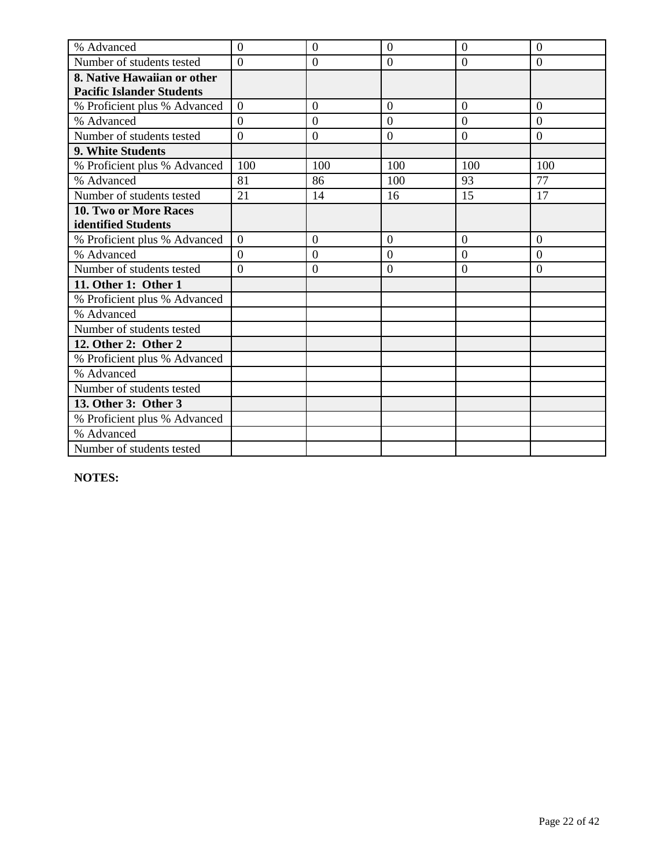| % Advanced                       | $\overline{0}$ | $\overline{0}$   | $\overline{0}$ | $\overline{0}$ | $\overline{0}$ |
|----------------------------------|----------------|------------------|----------------|----------------|----------------|
| Number of students tested        | $\Omega$       | $\boldsymbol{0}$ | $\overline{0}$ | $\overline{0}$ | $\overline{0}$ |
| 8. Native Hawaiian or other      |                |                  |                |                |                |
| <b>Pacific Islander Students</b> |                |                  |                |                |                |
| % Proficient plus % Advanced     | $\overline{0}$ | $\overline{0}$   | $\overline{0}$ | $\overline{0}$ | $\overline{0}$ |
| % Advanced                       | $\overline{0}$ | $\boldsymbol{0}$ | $\overline{0}$ | $\overline{0}$ | $\overline{0}$ |
| Number of students tested        | $\theta$       | $\overline{0}$   | $\overline{0}$ | $\overline{0}$ | $\overline{0}$ |
| 9. White Students                |                |                  |                |                |                |
| % Proficient plus % Advanced     | 100            | 100              | 100            | 100            | 100            |
| % Advanced                       | 81             | 86               | 100            | 93             | 77             |
| Number of students tested        | 21             | 14               | 16             | 15             | 17             |
| 10. Two or More Races            |                |                  |                |                |                |
| identified Students              |                |                  |                |                |                |
| % Proficient plus % Advanced     | $\Omega$       | $\overline{0}$   | $\overline{0}$ | $\overline{0}$ | $\overline{0}$ |
| % Advanced                       | $\overline{0}$ | $\overline{0}$   | $\overline{0}$ | $\overline{0}$ | $\overline{0}$ |
| Number of students tested        | $\theta$       | $\boldsymbol{0}$ | $\overline{0}$ | $\overline{0}$ | $\overline{0}$ |
| 11. Other 1: Other 1             |                |                  |                |                |                |
| % Proficient plus % Advanced     |                |                  |                |                |                |
| % Advanced                       |                |                  |                |                |                |
| Number of students tested        |                |                  |                |                |                |
| 12. Other 2: Other 2             |                |                  |                |                |                |
| % Proficient plus % Advanced     |                |                  |                |                |                |
| % Advanced                       |                |                  |                |                |                |
| Number of students tested        |                |                  |                |                |                |
| 13. Other 3: Other 3             |                |                  |                |                |                |
| % Proficient plus % Advanced     |                |                  |                |                |                |
| % Advanced                       |                |                  |                |                |                |
| Number of students tested        |                |                  |                |                |                |

**NOTES:**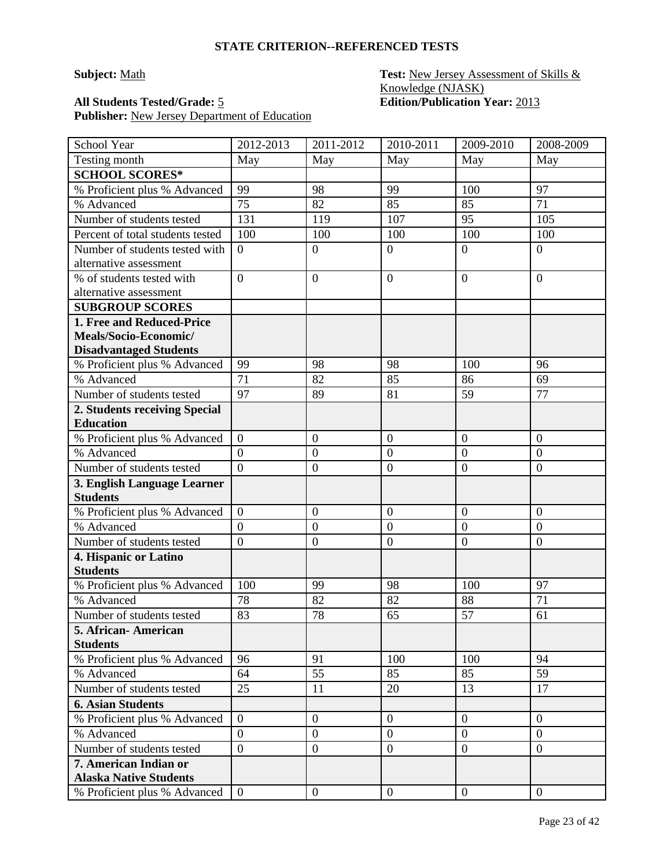### **Subject:** Math **Test:** New Jersey Assessment of Skills & Knowledge (NJASK) **All Students Tested/Grade:** 5 **Edition/Publication Year:** 2013

| School Year                              | 2012-2013      | 2011-2012        | 2010-2011        | 2009-2010        | 2008-2009        |
|------------------------------------------|----------------|------------------|------------------|------------------|------------------|
| Testing month                            | May            | May              | May              | May              | May              |
| <b>SCHOOL SCORES*</b>                    |                |                  |                  |                  |                  |
| % Proficient plus % Advanced             | 99             | 98               | 99               | 100              | 97               |
| % Advanced                               | 75             | 82               | 85               | 85               | 71               |
| Number of students tested                | 131            | 119              | 107              | 95               | 105              |
| Percent of total students tested         | 100            | 100              | 100              | 100              | 100              |
| Number of students tested with           | $\theta$       | $\boldsymbol{0}$ | $\overline{0}$   | $\overline{0}$   | $\overline{0}$   |
| alternative assessment                   |                |                  |                  |                  |                  |
| % of students tested with                | $\overline{0}$ | $\overline{0}$   | $\mathbf{0}$     | $\overline{0}$   | $\overline{0}$   |
| alternative assessment                   |                |                  |                  |                  |                  |
| <b>SUBGROUP SCORES</b>                   |                |                  |                  |                  |                  |
| 1. Free and Reduced-Price                |                |                  |                  |                  |                  |
| Meals/Socio-Economic/                    |                |                  |                  |                  |                  |
| <b>Disadvantaged Students</b>            |                |                  |                  |                  |                  |
| % Proficient plus % Advanced             | 99             | 98               | 98               | 100              | 96               |
| % Advanced                               | 71             | 82               | 85               | 86               | 69               |
| Number of students tested                | 97             | 89               | 81               | 59               | 77               |
| 2. Students receiving Special            |                |                  |                  |                  |                  |
| <b>Education</b>                         |                |                  |                  |                  |                  |
| % Proficient plus % Advanced             | $\overline{0}$ | $\boldsymbol{0}$ | $\overline{0}$   | $\boldsymbol{0}$ | $\boldsymbol{0}$ |
| % Advanced                               | $\overline{0}$ | $\boldsymbol{0}$ | $\overline{0}$   | $\overline{0}$   | $\overline{0}$   |
| Number of students tested                | $\overline{0}$ | $\boldsymbol{0}$ | $\overline{0}$   | $\overline{0}$   | $\overline{0}$   |
| 3. English Language Learner              |                |                  |                  |                  |                  |
| <b>Students</b>                          |                |                  |                  |                  |                  |
| % Proficient plus % Advanced             | $\overline{0}$ | $\boldsymbol{0}$ | $\overline{0}$   | $\overline{0}$   | $\overline{0}$   |
| % Advanced                               | $\overline{0}$ | $\boldsymbol{0}$ | $\overline{0}$   | $\overline{0}$   | $\overline{0}$   |
| Number of students tested                | $\mathbf{0}$   | $\boldsymbol{0}$ | $\overline{0}$   | $\mathbf{0}$     | $\boldsymbol{0}$ |
| 4. Hispanic or Latino<br><b>Students</b> |                |                  |                  |                  |                  |
| % Proficient plus % Advanced             | 100            | 99               | 98               | 100              | 97               |
| % Advanced                               | 78             | 82               | 82               | 88               | 71               |
|                                          |                |                  |                  | 57               |                  |
| Number of students tested                | 83             | 78               | 65               |                  | 61               |
| 5. African-American<br><b>Students</b>   |                |                  |                  |                  |                  |
| % Proficient plus % Advanced             | 96             | 91               | 100              | 100              | 94               |
| % Advanced                               | 64             | 55               | 85               | 85               | 59               |
| Number of students tested                | 25             | 11               | 20               | 13               | 17               |
| <b>6. Asian Students</b>                 |                |                  |                  |                  |                  |
| % Proficient plus % Advanced             | $\overline{0}$ | $\boldsymbol{0}$ | $\mathbf{0}$     | $\overline{0}$   | $\overline{0}$   |
| % Advanced                               | $\overline{0}$ | $\boldsymbol{0}$ | $\boldsymbol{0}$ | $\mathbf{0}$     | $\overline{0}$   |
| Number of students tested                | $\mathbf{0}$   | $\boldsymbol{0}$ | $\boldsymbol{0}$ | $\overline{0}$   | $\boldsymbol{0}$ |
| 7. American Indian or                    |                |                  |                  |                  |                  |
| <b>Alaska Native Students</b>            |                |                  |                  |                  |                  |
| % Proficient plus % Advanced             | $\overline{0}$ | $\boldsymbol{0}$ | $\overline{0}$   | $\mathbf{0}$     | $\overline{0}$   |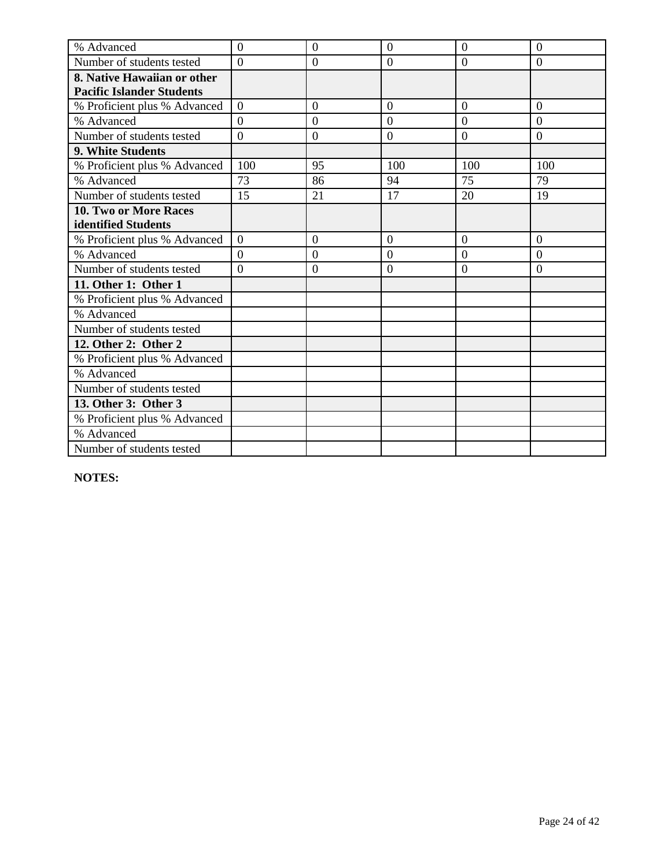| % Advanced                       | $\overline{0}$ | $\overline{0}$   | $\overline{0}$ | $\overline{0}$ | $\overline{0}$ |
|----------------------------------|----------------|------------------|----------------|----------------|----------------|
| Number of students tested        | $\Omega$       | $\boldsymbol{0}$ | $\overline{0}$ | $\overline{0}$ | $\overline{0}$ |
| 8. Native Hawaiian or other      |                |                  |                |                |                |
| <b>Pacific Islander Students</b> |                |                  |                |                |                |
| % Proficient plus % Advanced     | $\overline{0}$ | $\overline{0}$   | $\overline{0}$ | $\overline{0}$ | $\overline{0}$ |
| % Advanced                       | $\overline{0}$ | $\boldsymbol{0}$ | $\overline{0}$ | $\overline{0}$ | $\overline{0}$ |
| Number of students tested        | $\theta$       | $\overline{0}$   | $\overline{0}$ | $\overline{0}$ | $\overline{0}$ |
| 9. White Students                |                |                  |                |                |                |
| % Proficient plus % Advanced     | 100            | 95               | 100            | 100            | 100            |
| % Advanced                       | 73             | 86               | 94             | 75             | 79             |
| Number of students tested        | 15             | 21               | 17             | 20             | 19             |
| 10. Two or More Races            |                |                  |                |                |                |
| identified Students              |                |                  |                |                |                |
| % Proficient plus % Advanced     | $\Omega$       | $\overline{0}$   | $\overline{0}$ | $\overline{0}$ | $\overline{0}$ |
| % Advanced                       | $\overline{0}$ | $\overline{0}$   | $\overline{0}$ | $\overline{0}$ | $\overline{0}$ |
| Number of students tested        | $\theta$       | $\boldsymbol{0}$ | $\overline{0}$ | $\overline{0}$ | $\overline{0}$ |
| 11. Other 1: Other 1             |                |                  |                |                |                |
| % Proficient plus % Advanced     |                |                  |                |                |                |
| % Advanced                       |                |                  |                |                |                |
| Number of students tested        |                |                  |                |                |                |
| 12. Other 2: Other 2             |                |                  |                |                |                |
| % Proficient plus % Advanced     |                |                  |                |                |                |
| % Advanced                       |                |                  |                |                |                |
| Number of students tested        |                |                  |                |                |                |
| 13. Other 3: Other 3             |                |                  |                |                |                |
| % Proficient plus % Advanced     |                |                  |                |                |                |
| % Advanced                       |                |                  |                |                |                |
| Number of students tested        |                |                  |                |                |                |

**NOTES:**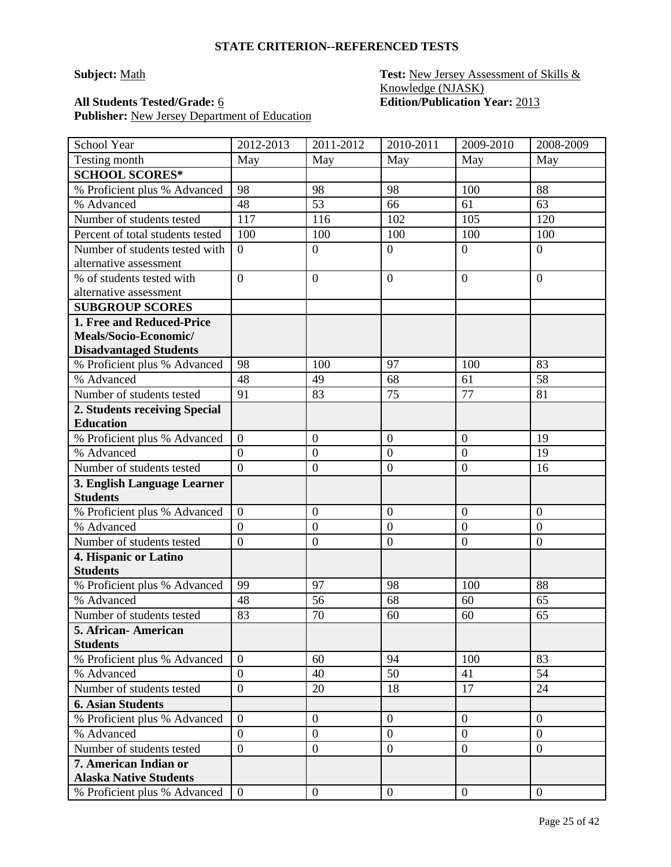### **Subject:** Math **Test:** New Jersey Assessment of Skills & Knowledge (NJASK) **All Students Tested/Grade:** 6 **Edition/Publication Year:** 2013

| School Year                                    | 2012-2013                        | 2011-2012        | 2010-2011        | 2009-2010        | 2008-2009        |
|------------------------------------------------|----------------------------------|------------------|------------------|------------------|------------------|
| Testing month                                  | May                              | May              | May              | May              | May              |
| <b>SCHOOL SCORES*</b>                          |                                  |                  |                  |                  |                  |
| % Proficient plus % Advanced                   | 98                               | 98               | 98               | 100              | 88               |
| % Advanced                                     | 48                               | 53               | 66               | 61               | 63               |
| Number of students tested                      | 117                              | 116              | 102              | 105              | 120              |
| Percent of total students tested               | 100                              | 100              | 100              | 100              | 100              |
| Number of students tested with                 | $\overline{0}$                   | $\boldsymbol{0}$ | $\overline{0}$   | $\overline{0}$   | $\overline{0}$   |
| alternative assessment                         |                                  |                  |                  |                  |                  |
| % of students tested with                      | $\overline{0}$                   | $\boldsymbol{0}$ | $\overline{0}$   | $\overline{0}$   | $\overline{0}$   |
| alternative assessment                         |                                  |                  |                  |                  |                  |
| <b>SUBGROUP SCORES</b>                         |                                  |                  |                  |                  |                  |
| 1. Free and Reduced-Price                      |                                  |                  |                  |                  |                  |
| Meals/Socio-Economic/                          |                                  |                  |                  |                  |                  |
| <b>Disadvantaged Students</b>                  |                                  |                  |                  |                  |                  |
| % Proficient plus % Advanced                   | 98                               | 100              | 97               | 100              | 83               |
| % Advanced                                     | 48                               | 49               | 68               | 61               | 58               |
| Number of students tested                      | 91                               | 83               | 75               | 77               | 81               |
| 2. Students receiving Special                  |                                  |                  |                  |                  |                  |
| <b>Education</b>                               |                                  |                  |                  |                  |                  |
| % Proficient plus % Advanced                   | $\boldsymbol{0}$                 | $\boldsymbol{0}$ | $\mathbf{0}$     | $\boldsymbol{0}$ | 19               |
| % Advanced                                     | $\overline{0}$<br>$\overline{0}$ | $\overline{0}$   | $\overline{0}$   | $\boldsymbol{0}$ | 19               |
| Number of students tested                      |                                  | $\boldsymbol{0}$ | $\overline{0}$   | $\overline{0}$   | 16               |
| 3. English Language Learner<br><b>Students</b> |                                  |                  |                  |                  |                  |
| % Proficient plus % Advanced                   | $\overline{0}$                   | $\boldsymbol{0}$ | $\mathbf{0}$     | $\boldsymbol{0}$ | $\boldsymbol{0}$ |
| % Advanced                                     | $\overline{0}$                   | $\boldsymbol{0}$ | $\mathbf{0}$     | $\overline{0}$   | $\overline{0}$   |
| Number of students tested                      | $\overline{0}$                   | $\boldsymbol{0}$ | $\overline{0}$   | $\overline{0}$   | $\boldsymbol{0}$ |
| 4. Hispanic or Latino                          |                                  |                  |                  |                  |                  |
| <b>Students</b>                                |                                  |                  |                  |                  |                  |
| % Proficient plus % Advanced                   | 99                               | 97               | 98               | 100              | 88               |
| % Advanced                                     | 48                               | 56               | 68               | 60               | 65               |
| Number of students tested                      | 83                               | 70               | 60               | 60               | 65               |
| 5. African - American                          |                                  |                  |                  |                  |                  |
| <b>Students</b>                                |                                  |                  |                  |                  |                  |
| % Proficient plus % Advanced                   | $\overline{0}$                   | 60               | 94               | 100              | 83               |
| % Advanced                                     | $\overline{0}$                   | 40               | 50               | 41               | 54               |
| Number of students tested                      | $\overline{0}$                   | 20               | 18               | 17               | 24               |
| <b>6. Asian Students</b>                       |                                  |                  |                  |                  |                  |
| % Proficient plus % Advanced                   | $\overline{0}$                   | $\boldsymbol{0}$ | $\boldsymbol{0}$ | $\overline{0}$   | $\overline{0}$   |
| % Advanced                                     | $\overline{0}$                   | $\boldsymbol{0}$ | $\boldsymbol{0}$ | $\overline{0}$   | $\overline{0}$   |
| Number of students tested                      | $\overline{0}$                   | $\boldsymbol{0}$ | $\boldsymbol{0}$ | $\overline{0}$   | $\overline{0}$   |
| 7. American Indian or                          |                                  |                  |                  |                  |                  |
| <b>Alaska Native Students</b>                  |                                  |                  |                  |                  |                  |
| % Proficient plus % Advanced                   | $\overline{0}$                   | $\boldsymbol{0}$ | $\overline{0}$   | $\overline{0}$   | $\overline{0}$   |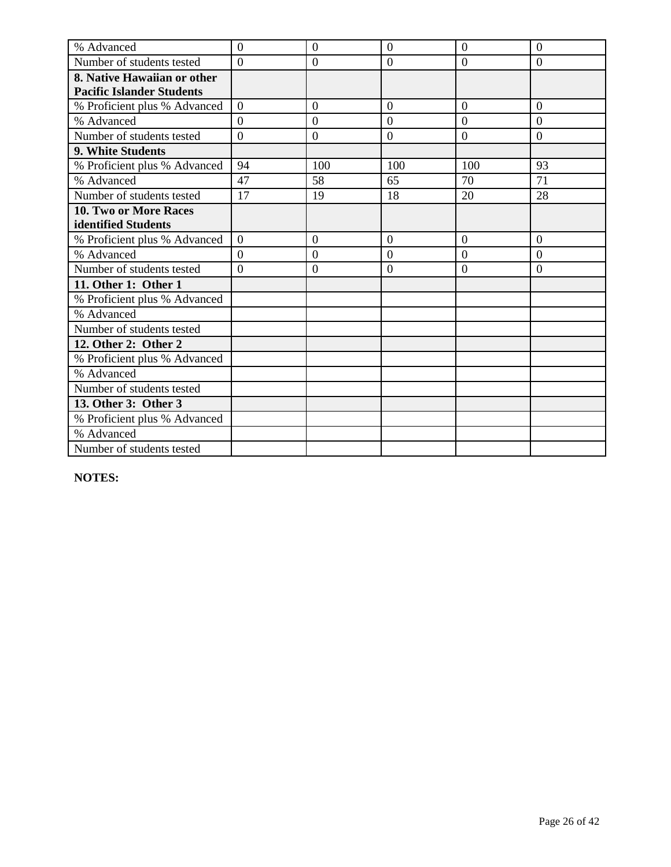| % Advanced                       | $\overline{0}$ | $\overline{0}$   | $\overline{0}$ | $\overline{0}$ | $\overline{0}$ |
|----------------------------------|----------------|------------------|----------------|----------------|----------------|
| Number of students tested        | $\Omega$       | $\boldsymbol{0}$ | $\overline{0}$ | $\overline{0}$ | $\overline{0}$ |
| 8. Native Hawaiian or other      |                |                  |                |                |                |
| <b>Pacific Islander Students</b> |                |                  |                |                |                |
| % Proficient plus % Advanced     | $\overline{0}$ | $\overline{0}$   | $\overline{0}$ | $\overline{0}$ | $\overline{0}$ |
| % Advanced                       | $\overline{0}$ | $\boldsymbol{0}$ | $\overline{0}$ | $\overline{0}$ | $\overline{0}$ |
| Number of students tested        | $\theta$       | $\overline{0}$   | $\overline{0}$ | $\overline{0}$ | $\overline{0}$ |
| 9. White Students                |                |                  |                |                |                |
| % Proficient plus % Advanced     | 94             | 100              | 100            | 100            | 93             |
| % Advanced                       | 47             | 58               | 65             | 70             | 71             |
| Number of students tested        | 17             | 19               | 18             | 20             | 28             |
| 10. Two or More Races            |                |                  |                |                |                |
| identified Students              |                |                  |                |                |                |
| % Proficient plus % Advanced     | $\Omega$       | $\overline{0}$   | $\overline{0}$ | $\overline{0}$ | $\overline{0}$ |
| % Advanced                       | $\overline{0}$ | $\overline{0}$   | $\overline{0}$ | $\overline{0}$ | $\overline{0}$ |
| Number of students tested        | $\theta$       | $\boldsymbol{0}$ | $\overline{0}$ | $\overline{0}$ | $\overline{0}$ |
| 11. Other 1: Other 1             |                |                  |                |                |                |
| % Proficient plus % Advanced     |                |                  |                |                |                |
| % Advanced                       |                |                  |                |                |                |
| Number of students tested        |                |                  |                |                |                |
| 12. Other 2: Other 2             |                |                  |                |                |                |
| % Proficient plus % Advanced     |                |                  |                |                |                |
| % Advanced                       |                |                  |                |                |                |
| Number of students tested        |                |                  |                |                |                |
| 13. Other 3: Other 3             |                |                  |                |                |                |
| % Proficient plus % Advanced     |                |                  |                |                |                |
| % Advanced                       |                |                  |                |                |                |
| Number of students tested        |                |                  |                |                |                |

**NOTES:**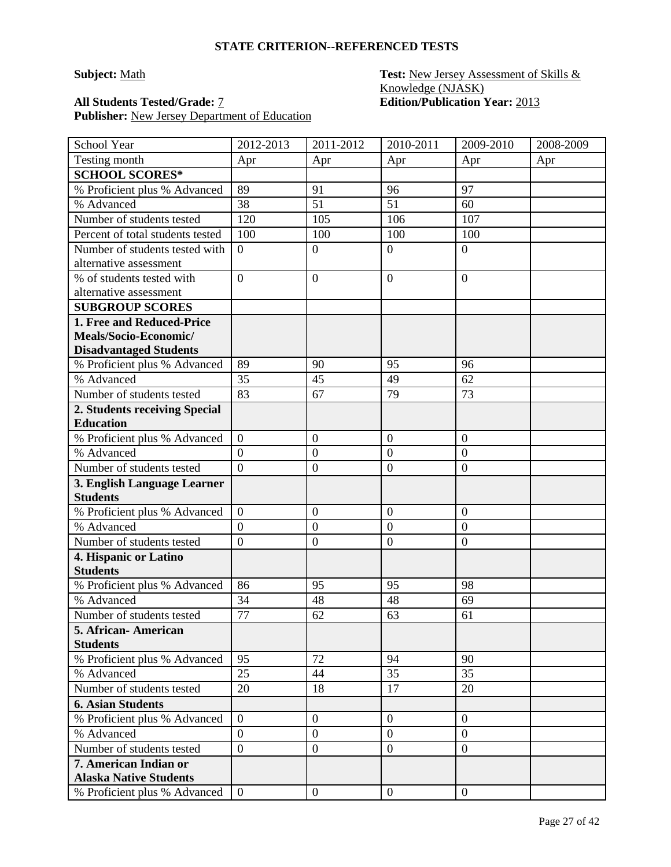### **STATE CRITERION--REFERENCED TESTS**

Publisher: New Jersey Department of Education

### **Subject:** Math **Test:** New Jersey Assessment of Skills & Knowledge (NJASK) **All Students Tested/Grade:** 7 **Edition/Publication Year:** 2013

| School Year                                              | 2012-2013        | 2011-2012        | 2010-2011        | 2009-2010        | 2008-2009 |
|----------------------------------------------------------|------------------|------------------|------------------|------------------|-----------|
| Testing month                                            | Apr              | Apr              | Apr              | Apr              | Apr       |
| <b>SCHOOL SCORES*</b>                                    |                  |                  |                  |                  |           |
| % Proficient plus % Advanced                             | 89               | 91               | 96               | 97               |           |
| % Advanced                                               | 38               | 51               | 51               | 60               |           |
| Number of students tested                                | 120              | 105              | 106              | 107              |           |
| Percent of total students tested                         | 100              | 100              | 100              | 100              |           |
| Number of students tested with<br>alternative assessment | $\overline{0}$   | $\boldsymbol{0}$ | $\overline{0}$   | $\boldsymbol{0}$ |           |
| % of students tested with<br>alternative assessment      | $\overline{0}$   | $\overline{0}$   | $\mathbf{0}$     | $\overline{0}$   |           |
| <b>SUBGROUP SCORES</b>                                   |                  |                  |                  |                  |           |
| 1. Free and Reduced-Price                                |                  |                  |                  |                  |           |
| Meals/Socio-Economic/                                    |                  |                  |                  |                  |           |
| <b>Disadvantaged Students</b>                            |                  |                  |                  |                  |           |
| % Proficient plus % Advanced                             | 89               | 90               | 95               | 96               |           |
| % Advanced                                               | 35               | 45               | 49               | 62               |           |
| Number of students tested                                | 83               | 67               | 79               | 73               |           |
| 2. Students receiving Special                            |                  |                  |                  |                  |           |
| <b>Education</b>                                         |                  |                  |                  |                  |           |
| % Proficient plus % Advanced                             | $\overline{0}$   | $\boldsymbol{0}$ | $\overline{0}$   | $\mathbf{0}$     |           |
| % Advanced                                               | $\boldsymbol{0}$ | $\boldsymbol{0}$ | $\mathbf{0}$     | $\boldsymbol{0}$ |           |
| Number of students tested                                | $\overline{0}$   | $\boldsymbol{0}$ | $\boldsymbol{0}$ | $\overline{0}$   |           |
| 3. English Language Learner                              |                  |                  |                  |                  |           |
| <b>Students</b>                                          |                  |                  |                  |                  |           |
| % Proficient plus % Advanced                             | $\overline{0}$   | $\mathbf{0}$     | $\mathbf{0}$     | $\boldsymbol{0}$ |           |
| % Advanced                                               | $\boldsymbol{0}$ | $\mathbf{0}$     | $\mathbf{0}$     | $\boldsymbol{0}$ |           |
| Number of students tested                                | $\overline{0}$   | $\boldsymbol{0}$ | $\mathbf{0}$     | $\overline{0}$   |           |
| 4. Hispanic or Latino<br><b>Students</b>                 |                  |                  |                  |                  |           |
| % Proficient plus % Advanced                             | 86               | 95               | 95               | 98               |           |
| % Advanced                                               | 34               | 48               | 48               | 69               |           |
| Number of students tested                                | 77               | 62               | 63               | 61               |           |
| 5. African- American                                     |                  |                  |                  |                  |           |
| <b>Students</b>                                          |                  |                  |                  |                  |           |
| % Proficient plus % Advanced                             | 95               | 72               | 94               | 90               |           |
| % Advanced                                               | 25               | 44               | 35               | 35               |           |
| Number of students tested                                | 20               | 18               | 17               | 20               |           |
| <b>6. Asian Students</b>                                 |                  |                  |                  |                  |           |
| % Proficient plus % Advanced                             | $\overline{0}$   | $\overline{0}$   | $\overline{0}$   | $\overline{0}$   |           |
| % Advanced                                               | $\overline{0}$   | $\boldsymbol{0}$ | $\overline{0}$   | $\boldsymbol{0}$ |           |
| Number of students tested                                | $\mathbf{0}$     | $\boldsymbol{0}$ | $\boldsymbol{0}$ | $\boldsymbol{0}$ |           |
| 7. American Indian or<br><b>Alaska Native Students</b>   |                  |                  |                  |                  |           |
| % Proficient plus % Advanced                             | $\overline{0}$   | $\overline{0}$   | $\overline{0}$   | $\overline{0}$   |           |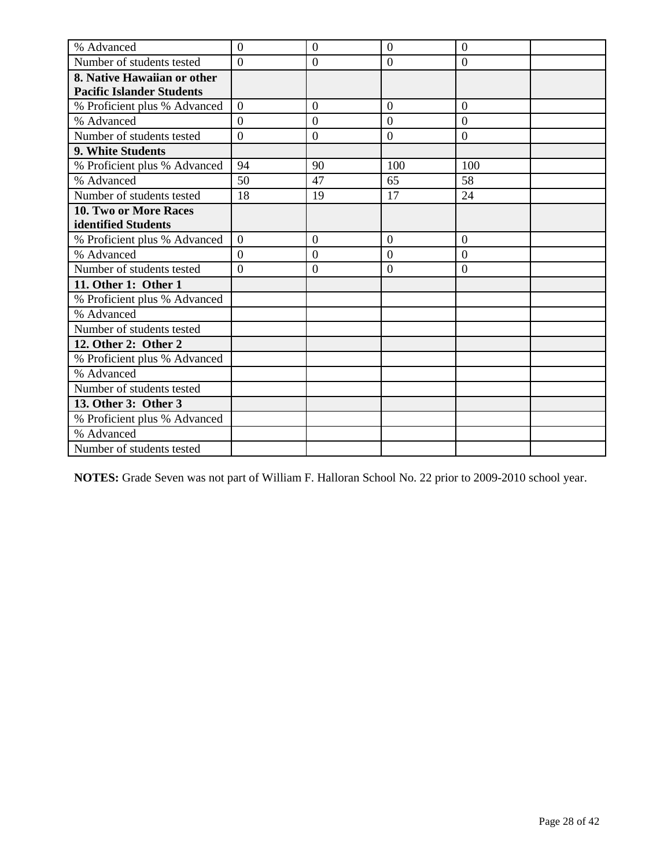| % Advanced                       | $\overline{0}$   | $\overline{0}$ | $\overline{0}$ | $\overline{0}$   |  |
|----------------------------------|------------------|----------------|----------------|------------------|--|
| Number of students tested        | $\theta$         | $\overline{0}$ | $\overline{0}$ | $\overline{0}$   |  |
| 8. Native Hawaiian or other      |                  |                |                |                  |  |
| <b>Pacific Islander Students</b> |                  |                |                |                  |  |
| % Proficient plus % Advanced     | $\Omega$         | $\overline{0}$ | $\Omega$       | $\overline{0}$   |  |
| % Advanced                       | $\overline{0}$   | $\overline{0}$ | $\overline{0}$ | $\overline{0}$   |  |
| Number of students tested        | $\overline{0}$   | $\overline{0}$ | $\overline{0}$ | $\overline{0}$   |  |
| 9. White Students                |                  |                |                |                  |  |
| % Proficient plus % Advanced     | 94               | 90             | 100            | 100              |  |
| % Advanced                       | 50               | 47             | 65             | 58               |  |
| Number of students tested        | 18               | 19             | 17             | 24               |  |
| 10. Two or More Races            |                  |                |                |                  |  |
| identified Students              |                  |                |                |                  |  |
| % Proficient plus % Advanced     | $\boldsymbol{0}$ | $\overline{0}$ | $\overline{0}$ | $\boldsymbol{0}$ |  |
| % Advanced                       | $\overline{0}$   | $\overline{0}$ | $\overline{0}$ | $\overline{0}$   |  |
| Number of students tested        | $\theta$         | $\overline{0}$ | $\overline{0}$ | $\theta$         |  |
| 11. Other 1: Other 1             |                  |                |                |                  |  |
| % Proficient plus % Advanced     |                  |                |                |                  |  |
| % Advanced                       |                  |                |                |                  |  |
| Number of students tested        |                  |                |                |                  |  |
| 12. Other 2: Other 2             |                  |                |                |                  |  |
| % Proficient plus % Advanced     |                  |                |                |                  |  |
| % Advanced                       |                  |                |                |                  |  |
| Number of students tested        |                  |                |                |                  |  |
| 13. Other 3: Other 3             |                  |                |                |                  |  |
| % Proficient plus % Advanced     |                  |                |                |                  |  |
| % Advanced                       |                  |                |                |                  |  |
| Number of students tested        |                  |                |                |                  |  |

**NOTES:** Grade Seven was not part of William F. Halloran School No. 22 prior to 2009-2010 school year.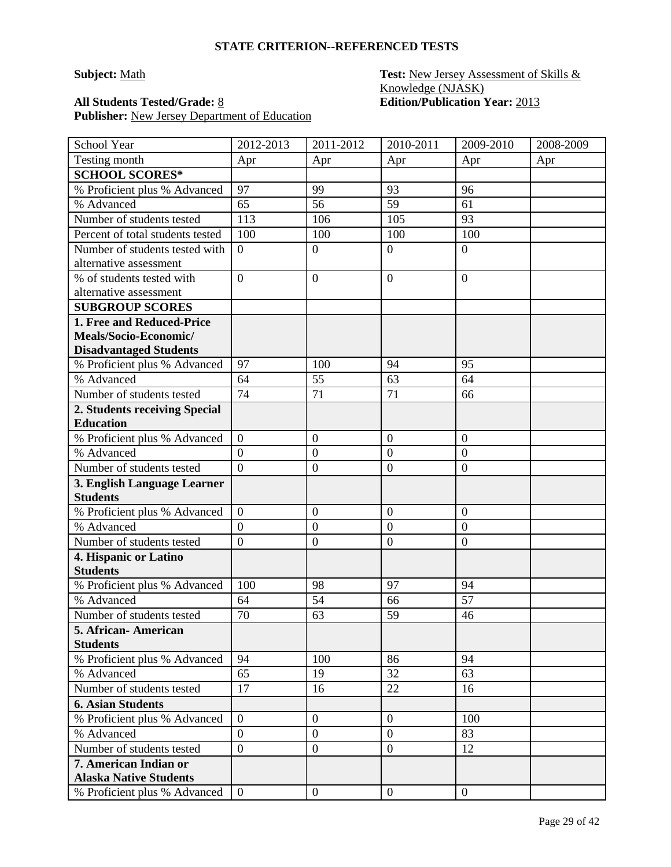### **Subject:** Math **Test:** New Jersey Assessment of Skills & Knowledge (NJASK) **All Students Tested/Grade:** 8 **Edition/Publication Year:** 2013

| School Year                                            | 2012-2013        | 2011-2012        | 2010-2011        | 2009-2010        | 2008-2009 |
|--------------------------------------------------------|------------------|------------------|------------------|------------------|-----------|
| Testing month                                          | Apr              | Apr              | Apr              | Apr              | Apr       |
| <b>SCHOOL SCORES*</b>                                  |                  |                  |                  |                  |           |
| % Proficient plus % Advanced                           | 97               | 99               | 93               | 96               |           |
| % Advanced                                             | 65               | 56               | 59               | 61               |           |
| Number of students tested                              | 113              | 106              | 105              | 93               |           |
| Percent of total students tested                       | 100              | 100              | 100              | 100              |           |
| Number of students tested with                         | $\overline{0}$   | $\boldsymbol{0}$ | $\overline{0}$   | $\overline{0}$   |           |
| alternative assessment                                 |                  |                  |                  |                  |           |
| % of students tested with                              | $\overline{0}$   | $\boldsymbol{0}$ | $\mathbf{0}$     | $\overline{0}$   |           |
| alternative assessment                                 |                  |                  |                  |                  |           |
| <b>SUBGROUP SCORES</b>                                 |                  |                  |                  |                  |           |
| 1. Free and Reduced-Price                              |                  |                  |                  |                  |           |
| Meals/Socio-Economic/                                  |                  |                  |                  |                  |           |
| <b>Disadvantaged Students</b>                          |                  |                  |                  |                  |           |
| % Proficient plus % Advanced                           | 97               | 100              | 94               | 95               |           |
| % Advanced                                             | 64               | 55               | 63               | 64               |           |
| Number of students tested                              | 74               | 71               | 71               | 66               |           |
| 2. Students receiving Special                          |                  |                  |                  |                  |           |
| <b>Education</b>                                       |                  |                  |                  |                  |           |
| % Proficient plus % Advanced                           | $\overline{0}$   | $\boldsymbol{0}$ | $\overline{0}$   | $\boldsymbol{0}$ |           |
| % Advanced                                             | $\overline{0}$   | $\mathbf{0}$     | $\overline{0}$   | $\overline{0}$   |           |
| Number of students tested                              | $\overline{0}$   | $\boldsymbol{0}$ | $\mathbf{0}$     | $\overline{0}$   |           |
| 3. English Language Learner                            |                  |                  |                  |                  |           |
| <b>Students</b>                                        |                  |                  |                  |                  |           |
| % Proficient plus % Advanced                           | $\theta$         | $\boldsymbol{0}$ | $\mathbf{0}$     | $\boldsymbol{0}$ |           |
| % Advanced                                             | $\boldsymbol{0}$ | $\mathbf{0}$     | $\overline{0}$   | $\boldsymbol{0}$ |           |
| Number of students tested                              | $\mathbf{0}$     | $\boldsymbol{0}$ | $\mathbf{0}$     | $\overline{0}$   |           |
| 4. Hispanic or Latino<br><b>Students</b>               |                  |                  |                  |                  |           |
| % Proficient plus % Advanced                           | 100              | 98               | 97               | 94               |           |
| % Advanced                                             | 64               | 54               | 66               | 57               |           |
| Number of students tested                              | 70               | 63               | 59               | 46               |           |
| 5. African-American                                    |                  |                  |                  |                  |           |
| <b>Students</b>                                        |                  |                  |                  |                  |           |
| % Proficient plus % Advanced                           | 94               | 100              | 86               | 94               |           |
| % Advanced                                             | 65               | 19               | 32               | 63               |           |
| Number of students tested                              | 17               | 16               | 22               | 16               |           |
| <b>6. Asian Students</b>                               |                  |                  |                  |                  |           |
| % Proficient plus % Advanced                           | $\overline{0}$   | $\boldsymbol{0}$ | $\boldsymbol{0}$ | 100              |           |
| % Advanced                                             | $\mathbf{0}$     | $\boldsymbol{0}$ | $\boldsymbol{0}$ | 83               |           |
| Number of students tested                              | $\overline{0}$   | $\boldsymbol{0}$ | $\overline{0}$   | 12               |           |
| 7. American Indian or<br><b>Alaska Native Students</b> |                  |                  |                  |                  |           |
| % Proficient plus % Advanced                           | $\overline{0}$   | $\overline{0}$   | $\mathbf{0}$     | $\overline{0}$   |           |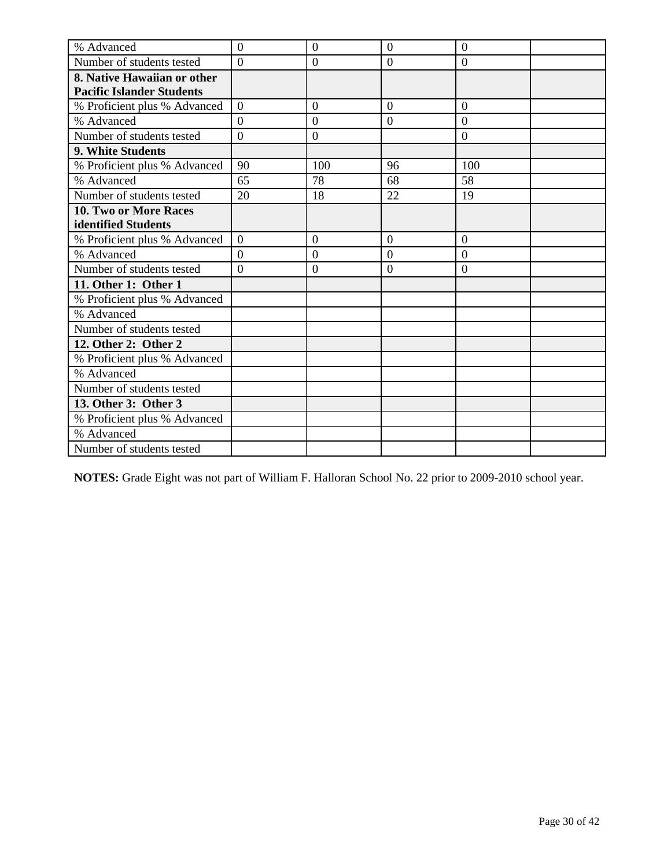| % Advanced                       | $\overline{0}$ | $\overline{0}$   | $\overline{0}$ | $\overline{0}$ |  |
|----------------------------------|----------------|------------------|----------------|----------------|--|
| Number of students tested        | $\Omega$       | $\mathbf{0}$     | $\overline{0}$ | $\overline{0}$ |  |
| 8. Native Hawaiian or other      |                |                  |                |                |  |
| <b>Pacific Islander Students</b> |                |                  |                |                |  |
| % Proficient plus % Advanced     | $\Omega$       | $\overline{0}$   | $\Omega$       | $\overline{0}$ |  |
| % Advanced                       | $\overline{0}$ | $\boldsymbol{0}$ | $\overline{0}$ | $\overline{0}$ |  |
| Number of students tested        | $\overline{0}$ | $\overline{0}$   |                | $\overline{0}$ |  |
| 9. White Students                |                |                  |                |                |  |
| % Proficient plus % Advanced     | 90             | 100              | 96             | 100            |  |
| % Advanced                       | 65             | 78               | 68             | 58             |  |
| Number of students tested        | 20             | 18               | 22             | 19             |  |
| <b>10. Two or More Races</b>     |                |                  |                |                |  |
| identified Students              |                |                  |                |                |  |
| % Proficient plus % Advanced     | $\overline{0}$ | $\overline{0}$   | $\overline{0}$ | $\overline{0}$ |  |
| % Advanced                       | $\Omega$       | $\overline{0}$   | $\overline{0}$ | $\overline{0}$ |  |
| Number of students tested        | $\overline{0}$ | $\boldsymbol{0}$ | $\overline{0}$ | $\overline{0}$ |  |
| 11. Other 1: Other 1             |                |                  |                |                |  |
| % Proficient plus % Advanced     |                |                  |                |                |  |
| % Advanced                       |                |                  |                |                |  |
| Number of students tested        |                |                  |                |                |  |
| 12. Other 2: Other 2             |                |                  |                |                |  |
| % Proficient plus % Advanced     |                |                  |                |                |  |
| % Advanced                       |                |                  |                |                |  |
| Number of students tested        |                |                  |                |                |  |
| 13. Other 3: Other 3             |                |                  |                |                |  |
| % Proficient plus % Advanced     |                |                  |                |                |  |
| % Advanced                       |                |                  |                |                |  |
| Number of students tested        |                |                  |                |                |  |

**NOTES:** Grade Eight was not part of William F. Halloran School No. 22 prior to 2009-2010 school year.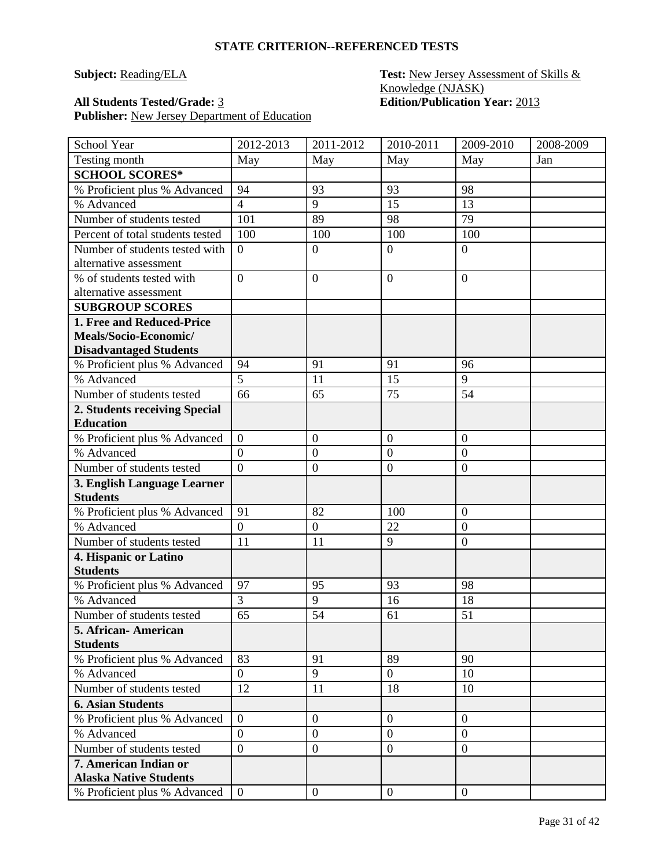### **Subject: Reading/ELA Test: New Jersey Assessment of Skills &** Knowledge (NJASK) **All Students Tested/Grade:** 3 **Edition/Publication Year:** 2013

| School Year                                            | 2012-2013      | 2011-2012        | 2010-2011        | 2009-2010        | 2008-2009 |
|--------------------------------------------------------|----------------|------------------|------------------|------------------|-----------|
| Testing month                                          | May            | May              | May              | May              | Jan       |
| <b>SCHOOL SCORES*</b>                                  |                |                  |                  |                  |           |
| % Proficient plus % Advanced                           | 94             | 93               | 93               | 98               |           |
| % Advanced                                             | $\overline{4}$ | 9                | 15               | 13               |           |
| Number of students tested                              | 101            | 89               | 98               | 79               |           |
| Percent of total students tested                       | 100            | 100              | 100              | 100              |           |
| Number of students tested with                         | $\overline{0}$ | $\boldsymbol{0}$ | $\overline{0}$   | $\overline{0}$   |           |
| alternative assessment                                 |                |                  |                  |                  |           |
| % of students tested with                              | $\overline{0}$ | $\boldsymbol{0}$ | $\boldsymbol{0}$ | $\theta$         |           |
| alternative assessment                                 |                |                  |                  |                  |           |
| <b>SUBGROUP SCORES</b>                                 |                |                  |                  |                  |           |
| 1. Free and Reduced-Price                              |                |                  |                  |                  |           |
| Meals/Socio-Economic/                                  |                |                  |                  |                  |           |
| <b>Disadvantaged Students</b>                          |                |                  |                  |                  |           |
| % Proficient plus % Advanced                           | 94             | 91               | 91               | 96               |           |
| % Advanced                                             | 5              | 11               | 15               | 9                |           |
| Number of students tested                              | 66             | 65               | 75               | 54               |           |
| 2. Students receiving Special                          |                |                  |                  |                  |           |
| <b>Education</b>                                       |                |                  |                  |                  |           |
| % Proficient plus % Advanced                           | $\overline{0}$ | $\mathbf{0}$     | $\boldsymbol{0}$ | $\boldsymbol{0}$ |           |
| % Advanced                                             | $\overline{0}$ | $\mathbf{0}$     | $\overline{0}$   | $\overline{0}$   |           |
| Number of students tested                              | $\overline{0}$ | $\mathbf{0}$     | $\overline{0}$   | $\boldsymbol{0}$ |           |
| 3. English Language Learner                            |                |                  |                  |                  |           |
| <b>Students</b>                                        |                |                  |                  |                  |           |
| % Proficient plus % Advanced                           | 91             | 82               | 100              | $\overline{0}$   |           |
| % Advanced                                             | $\overline{0}$ | $\boldsymbol{0}$ | 22               | $\overline{0}$   |           |
| Number of students tested                              | 11             | 11               | 9                | $\mathbf{0}$     |           |
| 4. Hispanic or Latino                                  |                |                  |                  |                  |           |
| <b>Students</b>                                        |                |                  |                  |                  |           |
| % Proficient plus % Advanced                           | 97             | 95               | 93               | 98               |           |
| % Advanced                                             | $\overline{3}$ | 9                | 16               | 18               |           |
| Number of students tested                              | 65             | 54               | 61               | 51               |           |
| 5. African-American                                    |                |                  |                  |                  |           |
| <b>Students</b>                                        |                |                  |                  |                  |           |
| % Proficient plus % Advanced                           | 83             | 91               | 89               | 90               |           |
| % Advanced                                             | $\overline{0}$ | 9                | $\overline{0}$   | 10               |           |
| Number of students tested                              | 12             | 11               | 18               | 10               |           |
| <b>6. Asian Students</b>                               |                |                  |                  |                  |           |
| % Proficient plus % Advanced                           | $\overline{0}$ | $\overline{0}$   | $\boldsymbol{0}$ | $\mathbf{0}$     |           |
| % Advanced                                             | $\overline{0}$ | $\overline{0}$   | $\boldsymbol{0}$ | $\overline{0}$   |           |
| Number of students tested                              | $\overline{0}$ | $\boldsymbol{0}$ | $\boldsymbol{0}$ | $\overline{0}$   |           |
| 7. American Indian or<br><b>Alaska Native Students</b> |                |                  |                  |                  |           |
| % Proficient plus % Advanced                           | $\overline{0}$ | $\boldsymbol{0}$ | $\boldsymbol{0}$ | $\overline{0}$   |           |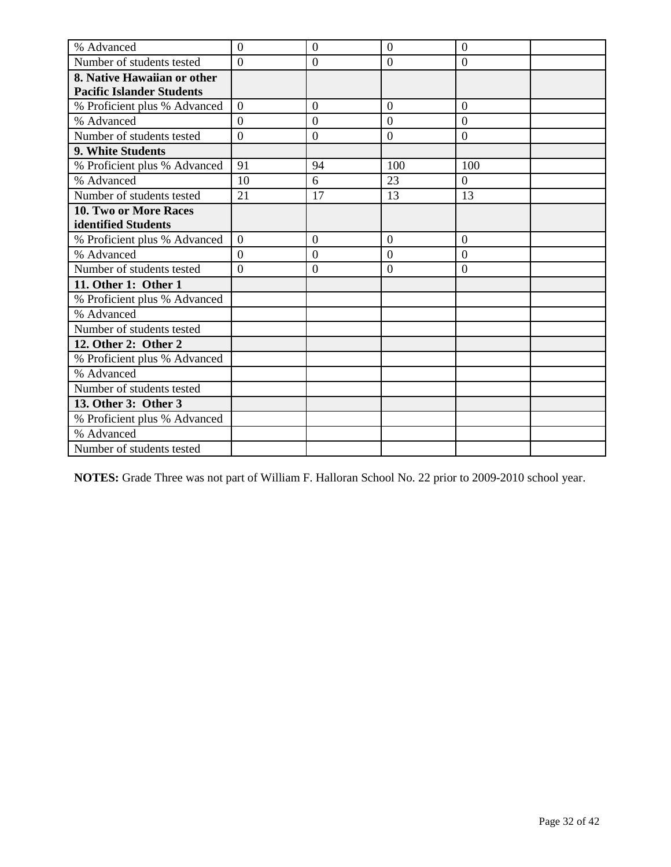| % Advanced                       | $\overline{0}$ | $\overline{0}$   | $\overline{0}$ | $\overline{0}$ |  |
|----------------------------------|----------------|------------------|----------------|----------------|--|
| Number of students tested        | $\Omega$       | $\boldsymbol{0}$ | $\overline{0}$ | $\overline{0}$ |  |
| 8. Native Hawaiian or other      |                |                  |                |                |  |
| <b>Pacific Islander Students</b> |                |                  |                |                |  |
| % Proficient plus % Advanced     | $\Omega$       | $\overline{0}$   | $\Omega$       | $\overline{0}$ |  |
| % Advanced                       | $\overline{0}$ | $\mathbf{0}$     | $\overline{0}$ | $\overline{0}$ |  |
| Number of students tested        | $\overline{0}$ | $\overline{0}$   | $\overline{0}$ | $\overline{0}$ |  |
| 9. White Students                |                |                  |                |                |  |
| % Proficient plus % Advanced     | 91             | 94               | 100            | 100            |  |
| % Advanced                       | 10             | 6                | 23             | $\theta$       |  |
| Number of students tested        | 21             | 17               | 13             | 13             |  |
| <b>10. Two or More Races</b>     |                |                  |                |                |  |
| identified Students              |                |                  |                |                |  |
| % Proficient plus % Advanced     | $\overline{0}$ | $\overline{0}$   | $\overline{0}$ | $\overline{0}$ |  |
| % Advanced                       | $\Omega$       | $\overline{0}$   | $\overline{0}$ | $\overline{0}$ |  |
| Number of students tested        | $\overline{0}$ | $\boldsymbol{0}$ | $\overline{0}$ | $\overline{0}$ |  |
| 11. Other 1: Other 1             |                |                  |                |                |  |
| % Proficient plus % Advanced     |                |                  |                |                |  |
| % Advanced                       |                |                  |                |                |  |
| Number of students tested        |                |                  |                |                |  |
| 12. Other 2: Other 2             |                |                  |                |                |  |
| % Proficient plus % Advanced     |                |                  |                |                |  |
| % Advanced                       |                |                  |                |                |  |
| Number of students tested        |                |                  |                |                |  |
| 13. Other 3: Other 3             |                |                  |                |                |  |
| % Proficient plus % Advanced     |                |                  |                |                |  |
| % Advanced                       |                |                  |                |                |  |
| Number of students tested        |                |                  |                |                |  |

**NOTES:** Grade Three was not part of William F. Halloran School No. 22 prior to 2009-2010 school year.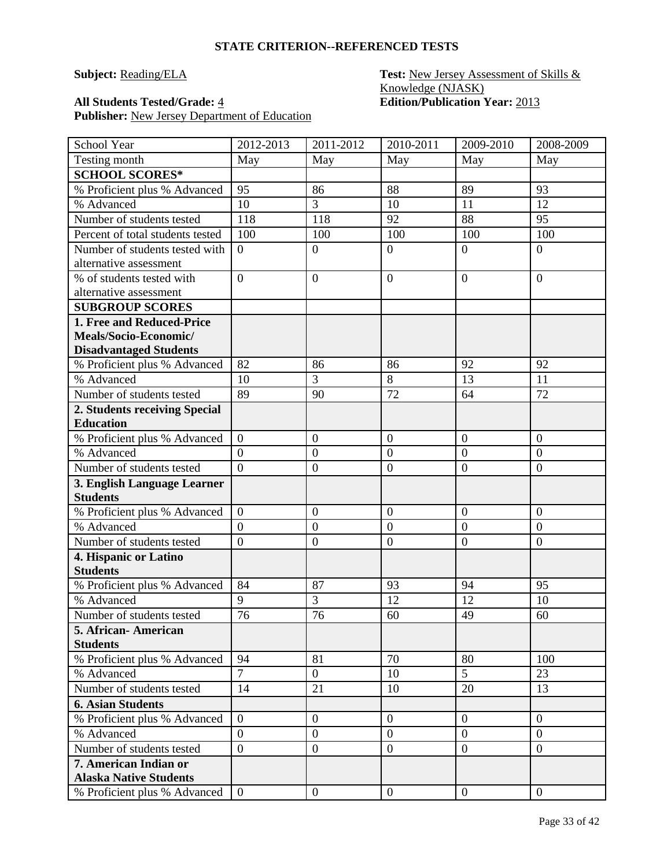### **Subject: Reading/ELA Test: New Jersey Assessment of Skills &** Knowledge (NJASK) **All Students Tested/Grade:** 4 **Edition/Publication Year:** 2013

| School Year                              | 2012-2013      | 2011-2012        | 2010-2011        | 2009-2010        | 2008-2009        |
|------------------------------------------|----------------|------------------|------------------|------------------|------------------|
| Testing month                            | May            | May              | May              | May              | May              |
| <b>SCHOOL SCORES*</b>                    |                |                  |                  |                  |                  |
| % Proficient plus % Advanced             | 95             | 86               | 88               | 89               | 93               |
| % Advanced                               | 10             | 3                | 10               | 11               | 12               |
| Number of students tested                | 118            | 118              | 92               | 88               | 95               |
| Percent of total students tested         | 100            | 100              | 100              | 100              | 100              |
| Number of students tested with           | $\overline{0}$ | $\boldsymbol{0}$ | $\overline{0}$   | $\overline{0}$   | $\overline{0}$   |
| alternative assessment                   |                |                  |                  |                  |                  |
| % of students tested with                | $\overline{0}$ | $\boldsymbol{0}$ | $\overline{0}$   | $\overline{0}$   | $\overline{0}$   |
| alternative assessment                   |                |                  |                  |                  |                  |
| <b>SUBGROUP SCORES</b>                   |                |                  |                  |                  |                  |
| 1. Free and Reduced-Price                |                |                  |                  |                  |                  |
| Meals/Socio-Economic/                    |                |                  |                  |                  |                  |
| <b>Disadvantaged Students</b>            |                |                  |                  |                  |                  |
| % Proficient plus % Advanced             | 82             | 86               | 86               | 92               | 92               |
| % Advanced                               | 10             | 3                | 8                | 13               | 11               |
| Number of students tested                | 89             | 90               | 72               | 64               | 72               |
| 2. Students receiving Special            |                |                  |                  |                  |                  |
| <b>Education</b>                         |                |                  |                  |                  |                  |
| % Proficient plus % Advanced             | $\overline{0}$ | $\boldsymbol{0}$ | $\mathbf{0}$     | $\boldsymbol{0}$ | $\boldsymbol{0}$ |
| % Advanced                               | $\overline{0}$ | $\overline{0}$   | $\mathbf{0}$     | $\boldsymbol{0}$ | $\mathbf{0}$     |
| Number of students tested                | $\overline{0}$ | $\boldsymbol{0}$ | $\overline{0}$   | $\overline{0}$   | $\overline{0}$   |
| 3. English Language Learner              |                |                  |                  |                  |                  |
| <b>Students</b>                          |                |                  |                  |                  |                  |
| % Proficient plus % Advanced             | $\overline{0}$ | $\boldsymbol{0}$ | $\mathbf{0}$     | $\boldsymbol{0}$ | $\mathbf{0}$     |
| % Advanced                               | $\overline{0}$ | $\boldsymbol{0}$ | $\mathbf{0}$     | $\overline{0}$   | $\overline{0}$   |
| Number of students tested                | $\overline{0}$ | $\boldsymbol{0}$ | $\overline{0}$   | $\overline{0}$   | $\boldsymbol{0}$ |
| 4. Hispanic or Latino<br><b>Students</b> |                |                  |                  |                  |                  |
| % Proficient plus % Advanced             | 84             | 87               | 93               | 94               | 95               |
| % Advanced                               | 9              | 3                | 12               | 12               | 10               |
| Number of students tested                | 76             | 76               | 60               | 49               | 60               |
| 5. African - American                    |                |                  |                  |                  |                  |
| <b>Students</b>                          |                |                  |                  |                  |                  |
| % Proficient plus % Advanced             | 94             | 81               | 70               | 80               | 100              |
| % Advanced                               | $\overline{7}$ | $\boldsymbol{0}$ | 10               | $\overline{5}$   | 23               |
| Number of students tested                | 14             | 21               | 10               | 20               | 13               |
| <b>6. Asian Students</b>                 |                |                  |                  |                  |                  |
| % Proficient plus % Advanced             | $\overline{0}$ | $\boldsymbol{0}$ | $\boldsymbol{0}$ | $\overline{0}$   | $\overline{0}$   |
| % Advanced                               | $\overline{0}$ | $\boldsymbol{0}$ | $\mathbf{0}$     | $\overline{0}$   | $\overline{0}$   |
| Number of students tested                | $\overline{0}$ | $\boldsymbol{0}$ | $\boldsymbol{0}$ | $\overline{0}$   | $\mathbf{0}$     |
| 7. American Indian or                    |                |                  |                  |                  |                  |
| <b>Alaska Native Students</b>            |                |                  |                  |                  |                  |
| % Proficient plus % Advanced             | $\overline{0}$ | $\boldsymbol{0}$ | $\overline{0}$   | $\overline{0}$   | $\overline{0}$   |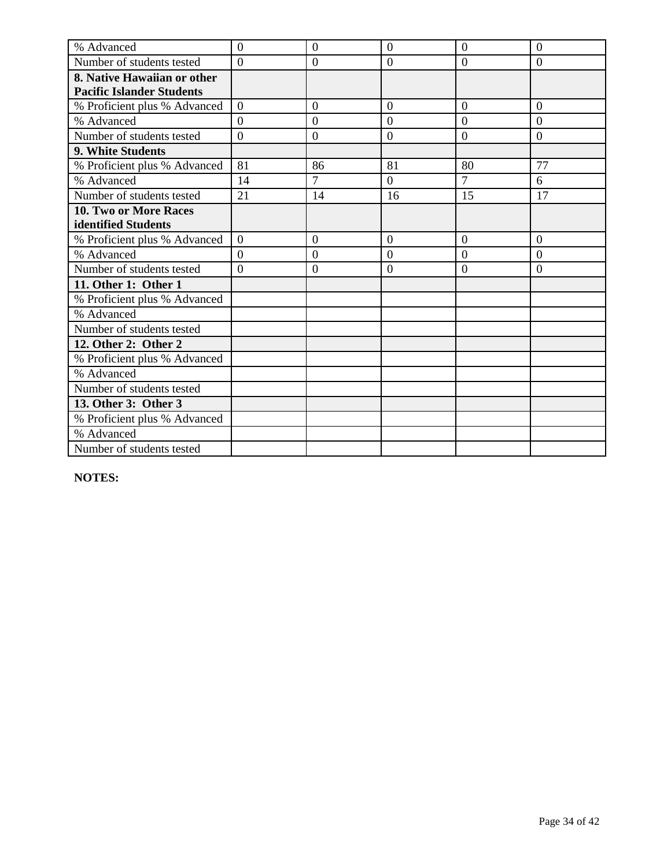| % Advanced                       | $\overline{0}$ | $\overline{0}$   | $\overline{0}$ | $\overline{0}$ | $\overline{0}$ |
|----------------------------------|----------------|------------------|----------------|----------------|----------------|
| Number of students tested        | $\Omega$       | $\boldsymbol{0}$ | $\overline{0}$ | $\overline{0}$ | $\overline{0}$ |
| 8. Native Hawaiian or other      |                |                  |                |                |                |
| <b>Pacific Islander Students</b> |                |                  |                |                |                |
| % Proficient plus % Advanced     | $\overline{0}$ | $\overline{0}$   | $\overline{0}$ | $\overline{0}$ | $\overline{0}$ |
| % Advanced                       | $\overline{0}$ | $\boldsymbol{0}$ | $\overline{0}$ | $\overline{0}$ | $\overline{0}$ |
| Number of students tested        | $\theta$       | $\overline{0}$   | $\overline{0}$ | $\overline{0}$ | $\overline{0}$ |
| 9. White Students                |                |                  |                |                |                |
| % Proficient plus % Advanced     | 81             | 86               | 81             | 80             | 77             |
| % Advanced                       | 14             | 7                | $\Omega$       | $\overline{7}$ | 6              |
| Number of students tested        | 21             | 14               | 16             | 15             | 17             |
| 10. Two or More Races            |                |                  |                |                |                |
| identified Students              |                |                  |                |                |                |
| % Proficient plus % Advanced     | $\Omega$       | $\overline{0}$   | $\overline{0}$ | $\overline{0}$ | $\overline{0}$ |
| % Advanced                       | $\overline{0}$ | $\overline{0}$   | $\overline{0}$ | $\overline{0}$ | $\overline{0}$ |
| Number of students tested        | $\theta$       | $\boldsymbol{0}$ | $\overline{0}$ | $\overline{0}$ | $\overline{0}$ |
| 11. Other 1: Other 1             |                |                  |                |                |                |
| % Proficient plus % Advanced     |                |                  |                |                |                |
| % Advanced                       |                |                  |                |                |                |
| Number of students tested        |                |                  |                |                |                |
| 12. Other 2: Other 2             |                |                  |                |                |                |
| % Proficient plus % Advanced     |                |                  |                |                |                |
| % Advanced                       |                |                  |                |                |                |
| Number of students tested        |                |                  |                |                |                |
| 13. Other 3: Other 3             |                |                  |                |                |                |
| % Proficient plus % Advanced     |                |                  |                |                |                |
| % Advanced                       |                |                  |                |                |                |
| Number of students tested        |                |                  |                |                |                |

**NOTES:**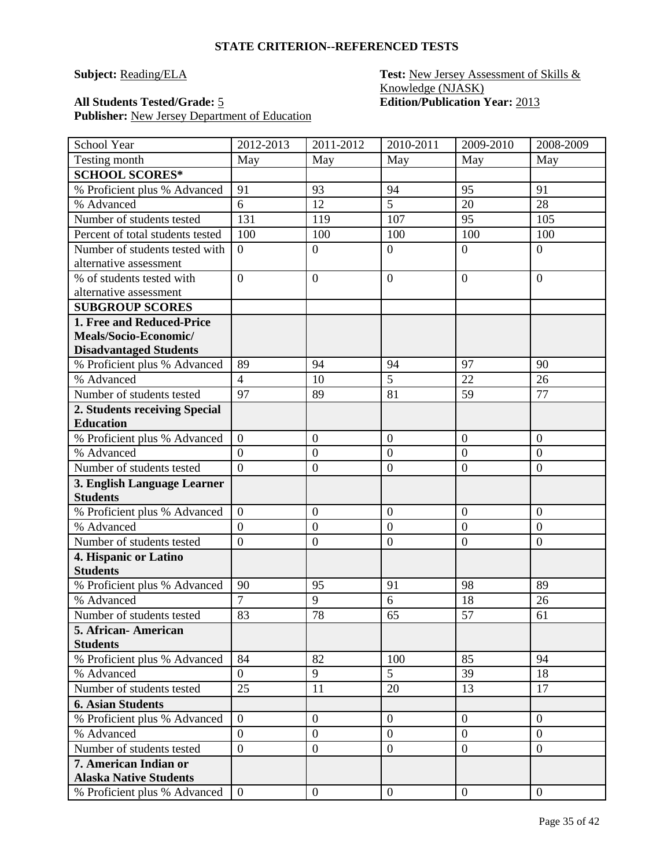### **Subject: Reading/ELA Test: New Jersey Assessment of Skills &** Knowledge (NJASK) **All Students Tested/Grade:** 5 **Edition/Publication Year:** 2013

| School Year                              | 2012-2013      | 2011-2012        | 2010-2011        | 2009-2010        | 2008-2009      |
|------------------------------------------|----------------|------------------|------------------|------------------|----------------|
| Testing month                            | May            | May              | May              | May              | May            |
| <b>SCHOOL SCORES*</b>                    |                |                  |                  |                  |                |
| % Proficient plus % Advanced             | 91             | 93               | 94               | 95               | 91             |
| % Advanced                               | 6              | 12               | $\overline{5}$   | 20               | 28             |
| Number of students tested                | 131            | 119              | 107              | 95               | 105            |
| Percent of total students tested         | 100            | 100              | 100              | 100              | 100            |
| Number of students tested with           | $\overline{0}$ | $\boldsymbol{0}$ | $\overline{0}$   | $\overline{0}$   | $\overline{0}$ |
| alternative assessment                   |                |                  |                  |                  |                |
| % of students tested with                | $\overline{0}$ | $\boldsymbol{0}$ | $\boldsymbol{0}$ | $\theta$         | $\overline{0}$ |
| alternative assessment                   |                |                  |                  |                  |                |
| <b>SUBGROUP SCORES</b>                   |                |                  |                  |                  |                |
| 1. Free and Reduced-Price                |                |                  |                  |                  |                |
| Meals/Socio-Economic/                    |                |                  |                  |                  |                |
| <b>Disadvantaged Students</b>            |                |                  |                  |                  |                |
| % Proficient plus % Advanced             | 89             | 94               | 94               | 97               | 90             |
| % Advanced                               | $\overline{4}$ | 10               | 5                | 22               | 26             |
| Number of students tested                | 97             | 89               | 81               | 59               | 77             |
| 2. Students receiving Special            |                |                  |                  |                  |                |
| <b>Education</b>                         |                |                  |                  |                  |                |
| % Proficient plus % Advanced             | $\overline{0}$ | $\mathbf{0}$     | $\boldsymbol{0}$ | $\boldsymbol{0}$ | $\mathbf{0}$   |
| % Advanced                               | $\overline{0}$ | $\mathbf{0}$     | $\overline{0}$   | $\overline{0}$   | $\overline{0}$ |
| Number of students tested                | $\overline{0}$ | $\mathbf{0}$     | $\overline{0}$   | $\boldsymbol{0}$ | $\mathbf{0}$   |
| 3. English Language Learner              |                |                  |                  |                  |                |
| <b>Students</b>                          |                |                  |                  |                  |                |
| % Proficient plus % Advanced             | $\overline{0}$ | $\mathbf{0}$     | $\boldsymbol{0}$ | $\overline{0}$   | $\overline{0}$ |
| % Advanced                               | $\overline{0}$ | $\boldsymbol{0}$ | $\mathbf{0}$     | $\overline{0}$   | $\mathbf{0}$   |
| Number of students tested                | $\overline{0}$ | $\overline{0}$   | $\overline{0}$   | $\mathbf{0}$     | $\mathbf{0}$   |
| 4. Hispanic or Latino<br><b>Students</b> |                |                  |                  |                  |                |
| % Proficient plus % Advanced             | 90             | 95               | 91               | 98               | 89             |
| % Advanced                               | $\overline{7}$ | 9                | 6                | 18               | 26             |
| Number of students tested                | 83             | 78               | 65               | 57               | 61             |
| 5. African- American                     |                |                  |                  |                  |                |
| <b>Students</b>                          |                |                  |                  |                  |                |
| % Proficient plus % Advanced             | 84             | 82               | 100              | 85               | 94             |
| % Advanced                               | 0              | 9                | 5                | 39               | 18             |
| Number of students tested                | 25             | 11               | 20               | 13               | 17             |
| <b>6. Asian Students</b>                 |                |                  |                  |                  |                |
| % Proficient plus % Advanced             | $\overline{0}$ | $\mathbf{0}$     | $\boldsymbol{0}$ | $\mathbf{0}$     | $\mathbf{0}$   |
| % Advanced                               | $\overline{0}$ | $\mathbf{0}$     | $\boldsymbol{0}$ | $\overline{0}$   | $\overline{0}$ |
| Number of students tested                | $\overline{0}$ | $\boldsymbol{0}$ | $\boldsymbol{0}$ | $\overline{0}$   | $\overline{0}$ |
| 7. American Indian or                    |                |                  |                  |                  |                |
| <b>Alaska Native Students</b>            |                |                  |                  |                  |                |
| % Proficient plus % Advanced             | $\overline{0}$ | $\boldsymbol{0}$ | $\boldsymbol{0}$ | $\mathbf{0}$     | $\overline{0}$ |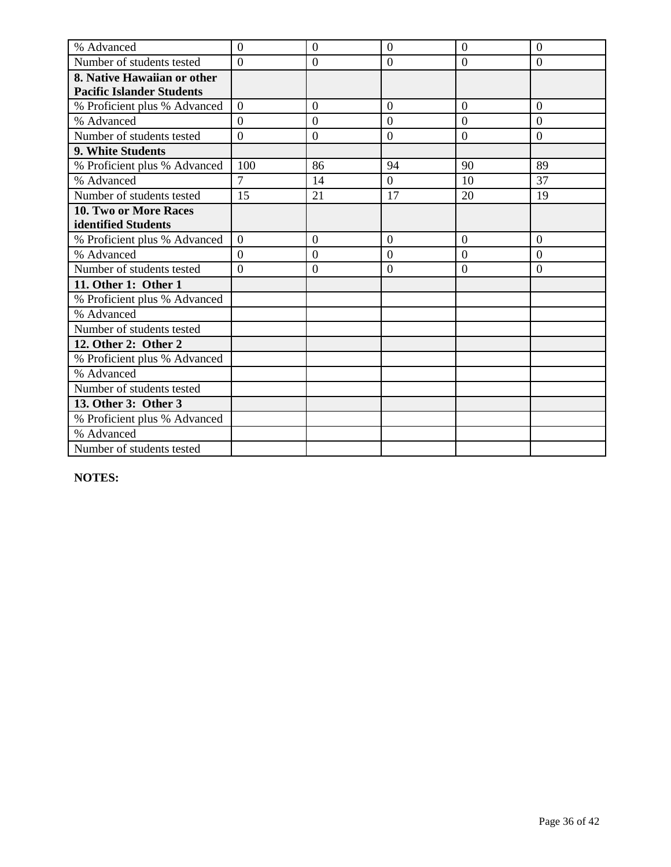| % Advanced                       | $\overline{0}$ | $\overline{0}$   | $\overline{0}$ | $\overline{0}$ | $\overline{0}$ |
|----------------------------------|----------------|------------------|----------------|----------------|----------------|
| Number of students tested        | $\Omega$       | $\boldsymbol{0}$ | $\overline{0}$ | $\overline{0}$ | $\overline{0}$ |
| 8. Native Hawaiian or other      |                |                  |                |                |                |
| <b>Pacific Islander Students</b> |                |                  |                |                |                |
| % Proficient plus % Advanced     | $\overline{0}$ | $\overline{0}$   | $\overline{0}$ | $\overline{0}$ | $\overline{0}$ |
| % Advanced                       | $\overline{0}$ | $\boldsymbol{0}$ | $\overline{0}$ | $\overline{0}$ | $\overline{0}$ |
| Number of students tested        | $\theta$       | $\overline{0}$   | $\overline{0}$ | $\overline{0}$ | $\overline{0}$ |
| 9. White Students                |                |                  |                |                |                |
| % Proficient plus % Advanced     | 100            | 86               | 94             | 90             | 89             |
| % Advanced                       | $\overline{7}$ | 14               | $\Omega$       | 10             | 37             |
| Number of students tested        | 15             | 21               | 17             | 20             | 19             |
| 10. Two or More Races            |                |                  |                |                |                |
| identified Students              |                |                  |                |                |                |
| % Proficient plus % Advanced     | $\Omega$       | $\overline{0}$   | $\overline{0}$ | $\overline{0}$ | $\overline{0}$ |
| % Advanced                       | $\overline{0}$ | $\overline{0}$   | $\overline{0}$ | $\overline{0}$ | $\overline{0}$ |
| Number of students tested        | $\theta$       | $\boldsymbol{0}$ | $\overline{0}$ | $\overline{0}$ | $\overline{0}$ |
| 11. Other 1: Other 1             |                |                  |                |                |                |
| % Proficient plus % Advanced     |                |                  |                |                |                |
| % Advanced                       |                |                  |                |                |                |
| Number of students tested        |                |                  |                |                |                |
| 12. Other 2: Other 2             |                |                  |                |                |                |
| % Proficient plus % Advanced     |                |                  |                |                |                |
| % Advanced                       |                |                  |                |                |                |
| Number of students tested        |                |                  |                |                |                |
| 13. Other 3: Other 3             |                |                  |                |                |                |
| % Proficient plus % Advanced     |                |                  |                |                |                |
| % Advanced                       |                |                  |                |                |                |
| Number of students tested        |                |                  |                |                |                |

**NOTES:**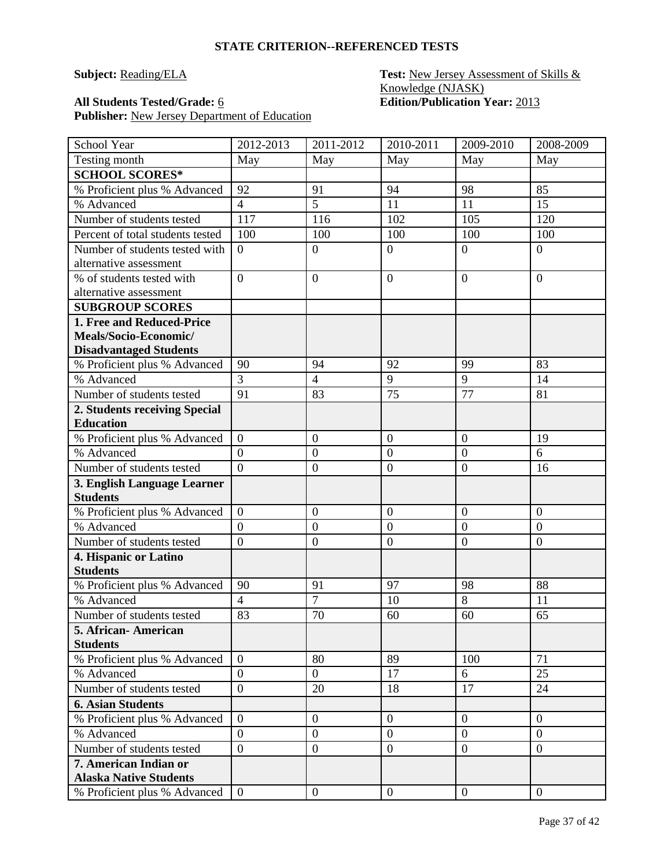### **Subject: Reading/ELA Test: New Jersey Assessment of Skills &** Knowledge (NJASK) **All Students Tested/Grade:** 6 **Edition/Publication Year:** 2013

| School Year                                                                         | 2012-2013      | 2011-2012        | 2010-2011        | 2009-2010        | 2008-2009        |
|-------------------------------------------------------------------------------------|----------------|------------------|------------------|------------------|------------------|
| Testing month                                                                       | May            | May              | May              | May              | May              |
| <b>SCHOOL SCORES*</b>                                                               |                |                  |                  |                  |                  |
| % Proficient plus % Advanced                                                        | 92             | 91               | 94               | 98               | 85               |
| % Advanced                                                                          | $\overline{4}$ | 5                | 11               | 11               | 15               |
| Number of students tested                                                           | 117            | 116              | 102              | 105              | 120              |
| Percent of total students tested                                                    | 100            | 100              | 100              | 100              | 100              |
| Number of students tested with<br>alternative assessment                            | $\overline{0}$ | $\boldsymbol{0}$ | $\boldsymbol{0}$ | $\overline{0}$   | $\boldsymbol{0}$ |
| % of students tested with<br>alternative assessment                                 | $\overline{0}$ | $\boldsymbol{0}$ | $\overline{0}$   | $\overline{0}$   | $\overline{0}$   |
| <b>SUBGROUP SCORES</b>                                                              |                |                  |                  |                  |                  |
| 1. Free and Reduced-Price<br>Meals/Socio-Economic/<br><b>Disadvantaged Students</b> |                |                  |                  |                  |                  |
| % Proficient plus % Advanced                                                        | 90             | 94               | 92               | 99               | 83               |
| % Advanced                                                                          | $\overline{3}$ | $\overline{4}$   | 9                | $\overline{9}$   | 14               |
| Number of students tested                                                           | 91             | 83               | 75               | 77               | 81               |
| 2. Students receiving Special<br><b>Education</b>                                   |                |                  |                  |                  |                  |
| % Proficient plus % Advanced                                                        | $\overline{0}$ | $\overline{0}$   | $\overline{0}$   | $\overline{0}$   | 19               |
| % Advanced                                                                          | $\overline{0}$ | $\boldsymbol{0}$ | $\boldsymbol{0}$ | $\boldsymbol{0}$ | 6                |
| Number of students tested                                                           | $\overline{0}$ | $\boldsymbol{0}$ | $\mathbf{0}$     | $\overline{0}$   | 16               |
| 3. English Language Learner<br><b>Students</b>                                      |                |                  |                  |                  |                  |
| % Proficient plus % Advanced                                                        | $\overline{0}$ | $\boldsymbol{0}$ | $\overline{0}$   | $\overline{0}$   | $\boldsymbol{0}$ |
| % Advanced                                                                          | $\overline{0}$ | $\boldsymbol{0}$ | $\mathbf{0}$     | $\overline{0}$   | $\overline{0}$   |
| Number of students tested                                                           | $\overline{0}$ | $\boldsymbol{0}$ | $\boldsymbol{0}$ | $\overline{0}$   | $\boldsymbol{0}$ |
| 4. Hispanic or Latino<br><b>Students</b>                                            |                |                  |                  |                  |                  |
| % Proficient plus % Advanced                                                        | 90             | 91               | 97               | 98               | 88               |
| % Advanced                                                                          | $\overline{4}$ | $\overline{7}$   | 10               | 8                | 11               |
| Number of students tested                                                           | 83             | 70               | 60               | 60               | 65               |
| 5. African- American<br><b>Students</b>                                             |                |                  |                  |                  |                  |
| % Proficient plus % Advanced                                                        | $\overline{0}$ | 80               | 89               | 100              | 71               |
| % Advanced                                                                          | $\overline{0}$ | $\overline{0}$   | 17               | 6                | 25               |
| Number of students tested                                                           | $\overline{0}$ | 20               | 18               | 17               | 24               |
| <b>6. Asian Students</b>                                                            |                |                  |                  |                  |                  |
| % Proficient plus % Advanced                                                        | $\overline{0}$ | $\boldsymbol{0}$ | $\overline{0}$   | $\overline{0}$   | $\theta$         |
| % Advanced                                                                          | $\overline{0}$ | $\overline{0}$   | $\overline{0}$   | $\overline{0}$   | $\theta$         |
| Number of students tested                                                           | $\overline{0}$ | $\boldsymbol{0}$ | $\boldsymbol{0}$ | $\overline{0}$   | $\mathbf{0}$     |
| 7. American Indian or<br><b>Alaska Native Students</b>                              |                |                  |                  |                  |                  |
| % Proficient plus % Advanced                                                        | $\overline{0}$ | $\mathbf{0}$     | $\overline{0}$   | $\overline{0}$   | $\overline{0}$   |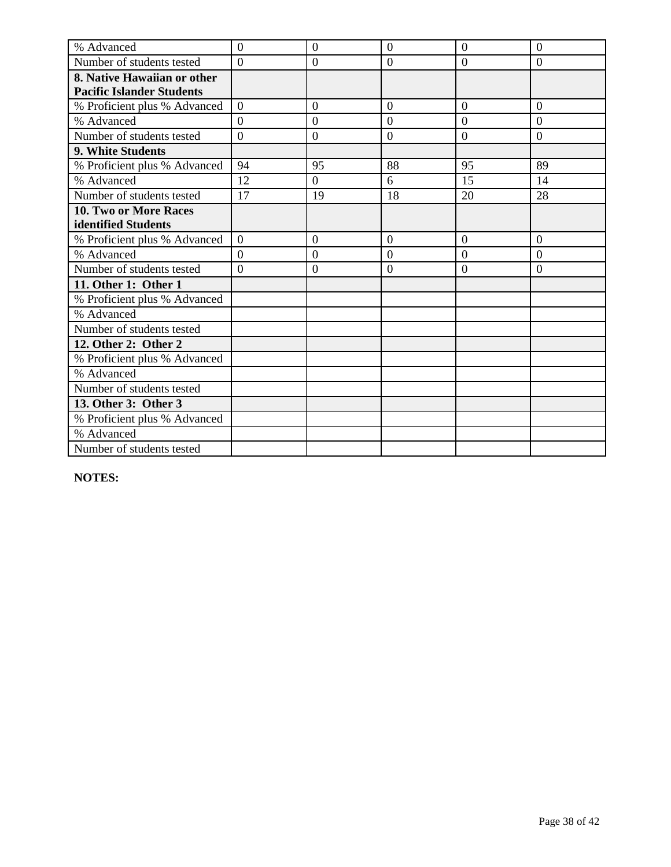| % Advanced                       | $\overline{0}$ | $\overline{0}$   | $\overline{0}$ | $\overline{0}$ | $\overline{0}$ |
|----------------------------------|----------------|------------------|----------------|----------------|----------------|
| Number of students tested        | $\Omega$       | $\boldsymbol{0}$ | $\overline{0}$ | $\overline{0}$ | $\overline{0}$ |
| 8. Native Hawaiian or other      |                |                  |                |                |                |
| <b>Pacific Islander Students</b> |                |                  |                |                |                |
| % Proficient plus % Advanced     | $\overline{0}$ | $\overline{0}$   | $\overline{0}$ | $\overline{0}$ | $\overline{0}$ |
| % Advanced                       | $\overline{0}$ | $\boldsymbol{0}$ | $\overline{0}$ | $\overline{0}$ | $\overline{0}$ |
| Number of students tested        | $\theta$       | $\overline{0}$   | $\overline{0}$ | $\overline{0}$ | $\overline{0}$ |
| 9. White Students                |                |                  |                |                |                |
| % Proficient plus % Advanced     | 94             | 95               | 88             | 95             | 89             |
| % Advanced                       | 12             | $\theta$         | 6              | 15             | 14             |
| Number of students tested        | 17             | 19               | 18             | 20             | 28             |
| 10. Two or More Races            |                |                  |                |                |                |
| identified Students              |                |                  |                |                |                |
| % Proficient plus % Advanced     | $\Omega$       | $\overline{0}$   | $\overline{0}$ | $\overline{0}$ | $\overline{0}$ |
| % Advanced                       | $\overline{0}$ | $\overline{0}$   | $\overline{0}$ | $\overline{0}$ | $\overline{0}$ |
| Number of students tested        | $\theta$       | $\boldsymbol{0}$ | $\overline{0}$ | $\overline{0}$ | $\overline{0}$ |
| 11. Other 1: Other 1             |                |                  |                |                |                |
| % Proficient plus % Advanced     |                |                  |                |                |                |
| % Advanced                       |                |                  |                |                |                |
| Number of students tested        |                |                  |                |                |                |
| 12. Other 2: Other 2             |                |                  |                |                |                |
| % Proficient plus % Advanced     |                |                  |                |                |                |
| % Advanced                       |                |                  |                |                |                |
| Number of students tested        |                |                  |                |                |                |
| 13. Other 3: Other 3             |                |                  |                |                |                |
| % Proficient plus % Advanced     |                |                  |                |                |                |
| % Advanced                       |                |                  |                |                |                |
| Number of students tested        |                |                  |                |                |                |

**NOTES:**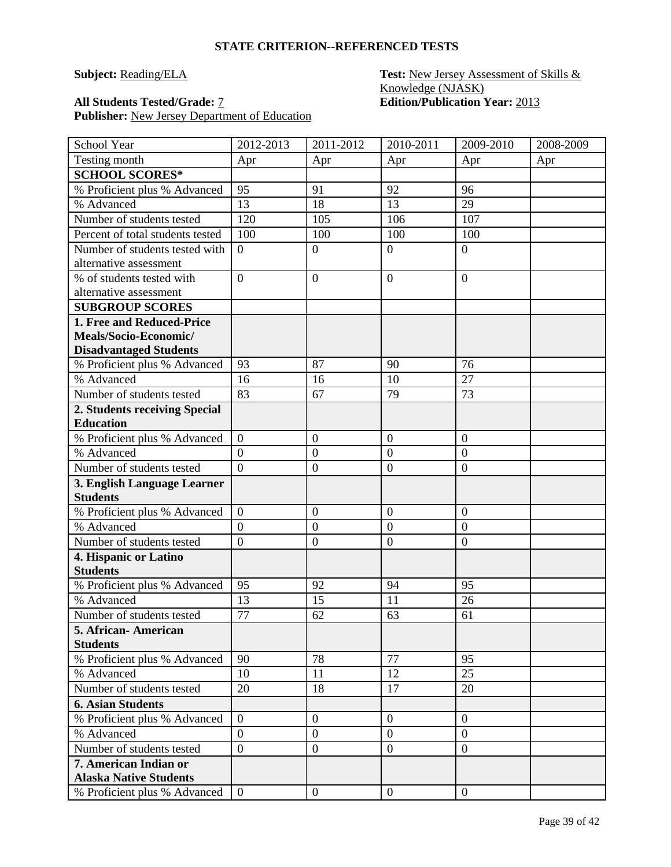### **Subject: Reading/ELA Test: New Jersey Assessment of Skills &** Knowledge (NJASK) **All Students Tested/Grade:** 7 **Edition/Publication Year:** 2013

| School Year                                    | 2012-2013                        | 2011-2012        | 2010-2011        | 2009-2010        | 2008-2009 |
|------------------------------------------------|----------------------------------|------------------|------------------|------------------|-----------|
| Testing month                                  | Apr                              | Apr              | Apr              | Apr              | Apr       |
| <b>SCHOOL SCORES*</b>                          |                                  |                  |                  |                  |           |
| % Proficient plus % Advanced                   | 95                               | 91               | 92               | 96               |           |
| % Advanced                                     | 13                               | 18               | 13               | 29               |           |
| Number of students tested                      | 120                              | 105              | 106              | 107              |           |
| Percent of total students tested               | 100                              | 100              | 100              | 100              |           |
| Number of students tested with                 | $\overline{0}$                   | $\boldsymbol{0}$ | $\overline{0}$   | $\overline{0}$   |           |
| alternative assessment                         |                                  |                  |                  |                  |           |
| % of students tested with                      | $\overline{0}$                   | $\boldsymbol{0}$ | $\overline{0}$   | $\overline{0}$   |           |
| alternative assessment                         |                                  |                  |                  |                  |           |
| <b>SUBGROUP SCORES</b>                         |                                  |                  |                  |                  |           |
| 1. Free and Reduced-Price                      |                                  |                  |                  |                  |           |
| Meals/Socio-Economic/                          |                                  |                  |                  |                  |           |
| <b>Disadvantaged Students</b>                  |                                  |                  |                  |                  |           |
| % Proficient plus % Advanced                   | 93                               | 87               | 90               | 76               |           |
| % Advanced                                     | 16                               | 16               | 10               | 27               |           |
| Number of students tested                      | 83                               | 67               | 79               | 73               |           |
| 2. Students receiving Special                  |                                  |                  |                  |                  |           |
| <b>Education</b>                               |                                  |                  |                  |                  |           |
| % Proficient plus % Advanced                   | $\boldsymbol{0}$                 | $\boldsymbol{0}$ | $\mathbf{0}$     | $\overline{0}$   |           |
| % Advanced                                     | $\overline{0}$<br>$\overline{0}$ | $\overline{0}$   | $\mathbf{0}$     | $\boldsymbol{0}$ |           |
| Number of students tested                      |                                  | $\boldsymbol{0}$ | $\overline{0}$   | $\overline{0}$   |           |
| 3. English Language Learner<br><b>Students</b> |                                  |                  |                  |                  |           |
| % Proficient plus % Advanced                   | $\overline{0}$                   | $\boldsymbol{0}$ | $\mathbf{0}$     | $\boldsymbol{0}$ |           |
| % Advanced                                     | $\overline{0}$                   | $\boldsymbol{0}$ | $\mathbf{0}$     | $\overline{0}$   |           |
| Number of students tested                      | $\overline{0}$                   | $\boldsymbol{0}$ | $\overline{0}$   | $\overline{0}$   |           |
| 4. Hispanic or Latino                          |                                  |                  |                  |                  |           |
| <b>Students</b>                                |                                  |                  |                  |                  |           |
| % Proficient plus % Advanced                   | 95                               | 92               | 94               | 95               |           |
| % Advanced                                     | 13                               | 15               | 11               | 26               |           |
| Number of students tested                      | 77                               | 62               | 63               | 61               |           |
| 5. African - American                          |                                  |                  |                  |                  |           |
| <b>Students</b>                                |                                  |                  |                  |                  |           |
| % Proficient plus % Advanced                   | 90                               | 78               | 77               | 95               |           |
| % Advanced                                     | 10                               | 11               | 12               | 25               |           |
| Number of students tested                      | 20                               | 18               | 17               | 20               |           |
| <b>6. Asian Students</b>                       |                                  |                  |                  |                  |           |
| % Proficient plus % Advanced                   | $\overline{0}$                   | $\boldsymbol{0}$ | $\boldsymbol{0}$ | $\overline{0}$   |           |
| % Advanced                                     | $\overline{0}$                   | $\boldsymbol{0}$ | $\boldsymbol{0}$ | $\overline{0}$   |           |
| Number of students tested                      | $\overline{0}$                   | $\boldsymbol{0}$ | $\boldsymbol{0}$ | $\overline{0}$   |           |
| 7. American Indian or                          |                                  |                  |                  |                  |           |
| <b>Alaska Native Students</b>                  |                                  |                  |                  |                  |           |
| % Proficient plus % Advanced                   | $\overline{0}$                   | $\boldsymbol{0}$ | $\overline{0}$   | $\overline{0}$   |           |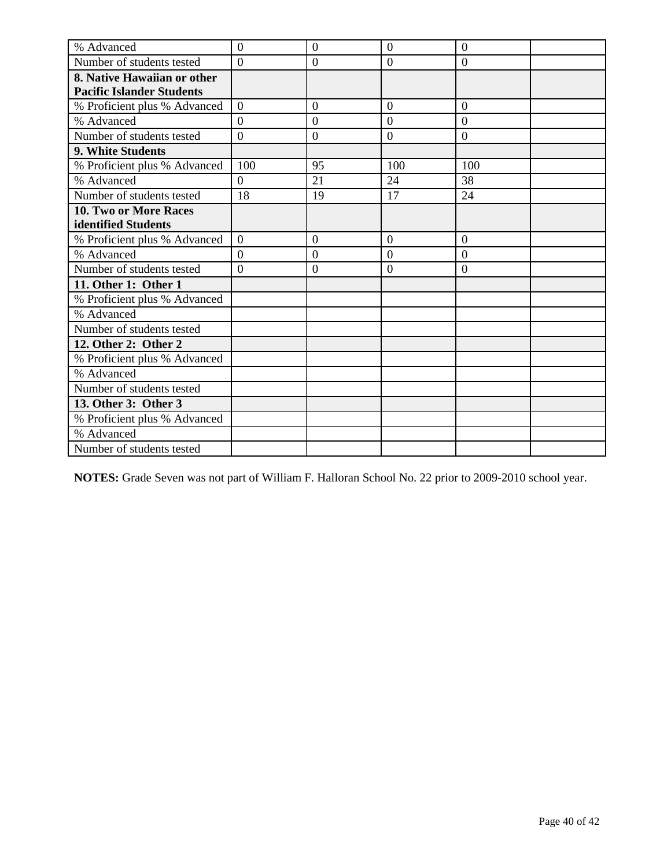| % Advanced                       | $\overline{0}$ | $\overline{0}$   | $\overline{0}$ | $\overline{0}$   |  |
|----------------------------------|----------------|------------------|----------------|------------------|--|
| Number of students tested        | $\theta$       | $\overline{0}$   | $\overline{0}$ | $\overline{0}$   |  |
| 8. Native Hawaiian or other      |                |                  |                |                  |  |
| <b>Pacific Islander Students</b> |                |                  |                |                  |  |
| % Proficient plus % Advanced     | $\Omega$       | $\overline{0}$   | $\Omega$       | $\overline{0}$   |  |
| % Advanced                       | $\overline{0}$ | $\overline{0}$   | $\overline{0}$ | $\overline{0}$   |  |
| Number of students tested        | $\overline{0}$ | $\boldsymbol{0}$ | $\mathbf{0}$   | $\boldsymbol{0}$ |  |
| 9. White Students                |                |                  |                |                  |  |
| % Proficient plus % Advanced     | 100            | 95               | 100            | 100              |  |
| % Advanced                       | $\overline{0}$ | 21               | 24             | 38               |  |
| Number of students tested        | 18             | 19               | 17             | 24               |  |
| <b>10. Two or More Races</b>     |                |                  |                |                  |  |
| identified Students              |                |                  |                |                  |  |
| % Proficient plus % Advanced     | $\overline{0}$ | $\overline{0}$   | $\theta$       | $\overline{0}$   |  |
| % Advanced                       | $\theta$       | $\overline{0}$   | $\theta$       | $\overline{0}$   |  |
| Number of students tested        | $\overline{0}$ | $\overline{0}$   | $\overline{0}$ | $\overline{0}$   |  |
| 11. Other 1: Other 1             |                |                  |                |                  |  |
| % Proficient plus % Advanced     |                |                  |                |                  |  |
| % Advanced                       |                |                  |                |                  |  |
| Number of students tested        |                |                  |                |                  |  |
| 12. Other 2: Other 2             |                |                  |                |                  |  |
| % Proficient plus % Advanced     |                |                  |                |                  |  |
| % Advanced                       |                |                  |                |                  |  |
| Number of students tested        |                |                  |                |                  |  |
| 13. Other 3: Other 3             |                |                  |                |                  |  |
| % Proficient plus % Advanced     |                |                  |                |                  |  |
| % Advanced                       |                |                  |                |                  |  |
| Number of students tested        |                |                  |                |                  |  |

**NOTES:** Grade Seven was not part of William F. Halloran School No. 22 prior to 2009-2010 school year.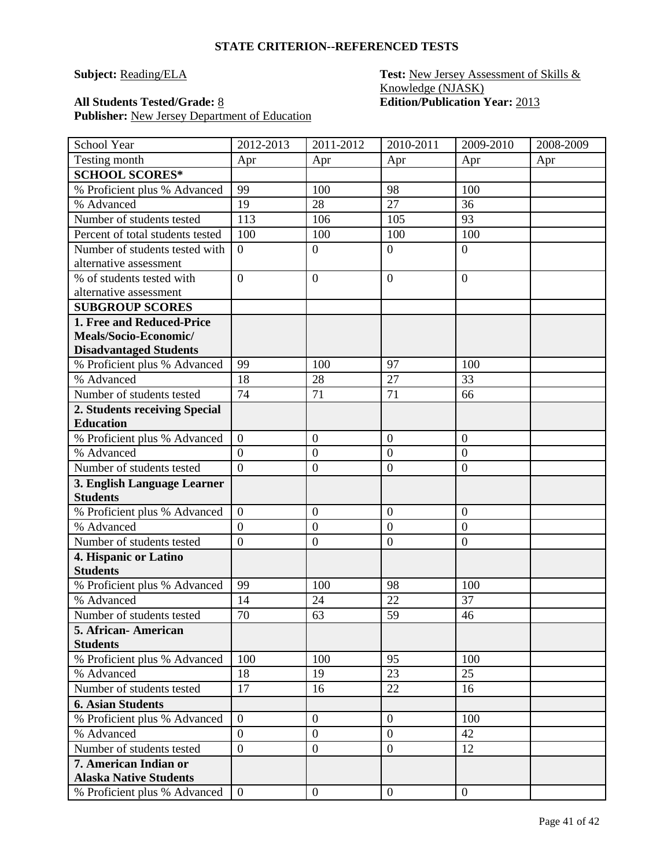### **Subject: Reading/ELA Test: New Jersey Assessment of Skills &** Knowledge (NJASK) **All Students Tested/Grade:** 8 **Edition/Publication Year:** 2013

| School Year                      | 2012-2013      | 2011-2012        | 2010-2011        | 2009-2010        | 2008-2009 |
|----------------------------------|----------------|------------------|------------------|------------------|-----------|
| Testing month                    | Apr            | Apr              | Apr              | Apr              | Apr       |
| <b>SCHOOL SCORES*</b>            |                |                  |                  |                  |           |
| % Proficient plus % Advanced     | 99             | 100              | 98               | 100              |           |
| % Advanced                       | 19             | 28               | 27               | 36               |           |
| Number of students tested        | 113            | 106              | 105              | 93               |           |
| Percent of total students tested | 100            | 100              | 100              | 100              |           |
| Number of students tested with   | $\overline{0}$ | $\boldsymbol{0}$ | $\overline{0}$   | $\overline{0}$   |           |
| alternative assessment           |                |                  |                  |                  |           |
| % of students tested with        | $\overline{0}$ | $\boldsymbol{0}$ | $\boldsymbol{0}$ | $\overline{0}$   |           |
| alternative assessment           |                |                  |                  |                  |           |
| <b>SUBGROUP SCORES</b>           |                |                  |                  |                  |           |
| 1. Free and Reduced-Price        |                |                  |                  |                  |           |
| Meals/Socio-Economic/            |                |                  |                  |                  |           |
| <b>Disadvantaged Students</b>    |                |                  |                  |                  |           |
| % Proficient plus % Advanced     | 99             | 100              | 97               | 100              |           |
| % Advanced                       | 18             | 28               | 27               | 33               |           |
| Number of students tested        | 74             | 71               | 71               | 66               |           |
| 2. Students receiving Special    |                |                  |                  |                  |           |
| <b>Education</b>                 |                |                  |                  |                  |           |
| % Proficient plus % Advanced     | $\overline{0}$ | $\boldsymbol{0}$ | $\overline{0}$   | $\theta$         |           |
| % Advanced                       | $\overline{0}$ | $\mathbf{0}$     | $\boldsymbol{0}$ | $\overline{0}$   |           |
| Number of students tested        | $\overline{0}$ | $\boldsymbol{0}$ | $\overline{0}$   | $\overline{0}$   |           |
| 3. English Language Learner      |                |                  |                  |                  |           |
| <b>Students</b>                  |                |                  |                  |                  |           |
| % Proficient plus % Advanced     | $\overline{0}$ | $\overline{0}$   | $\overline{0}$   | $\overline{0}$   |           |
| % Advanced                       | $\overline{0}$ | $\boldsymbol{0}$ | $\overline{0}$   | $\overline{0}$   |           |
| Number of students tested        | $\overline{0}$ | $\boldsymbol{0}$ | $\overline{0}$   | $\boldsymbol{0}$ |           |
| 4. Hispanic or Latino            |                |                  |                  |                  |           |
| <b>Students</b>                  |                |                  |                  |                  |           |
| % Proficient plus % Advanced     | 99             | 100              | 98               | 100              |           |
| % Advanced                       | 14             | 24               | 22               | 37               |           |
| Number of students tested        | 70             | 63               | 59               | 46               |           |
| 5. African-American              |                |                  |                  |                  |           |
| <b>Students</b>                  |                |                  |                  |                  |           |
| % Proficient plus % Advanced     | 100            | 100              | 95               | 100              |           |
| % Advanced                       | 18             | 19               | 23               | 25               |           |
| Number of students tested        | 17             | 16               | 22               | 16               |           |
| <b>6. Asian Students</b>         |                |                  |                  |                  |           |
| % Proficient plus % Advanced     | $\overline{0}$ | $\boldsymbol{0}$ | $\overline{0}$   | 100              |           |
| % Advanced                       | $\overline{0}$ | $\mathbf{0}$     | $\overline{0}$   | 42               |           |
| Number of students tested        | $\overline{0}$ | $\boldsymbol{0}$ | $\boldsymbol{0}$ | 12               |           |
| 7. American Indian or            |                |                  |                  |                  |           |
| <b>Alaska Native Students</b>    |                |                  |                  |                  |           |
| % Proficient plus % Advanced     | $\overline{0}$ | $\boldsymbol{0}$ | $\overline{0}$   | $\mathbf{0}$     |           |